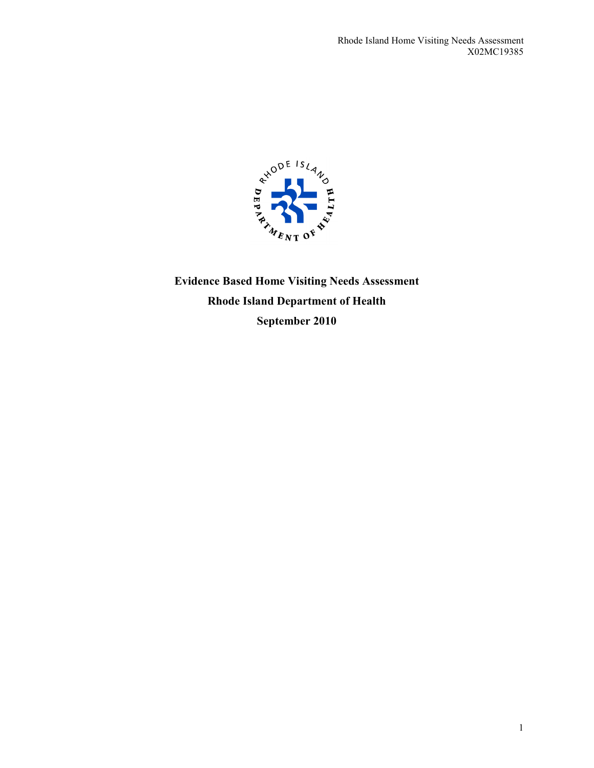

**Evidence Based Home Visiting Needs Assessment Rhode Island Department of Health September 2010**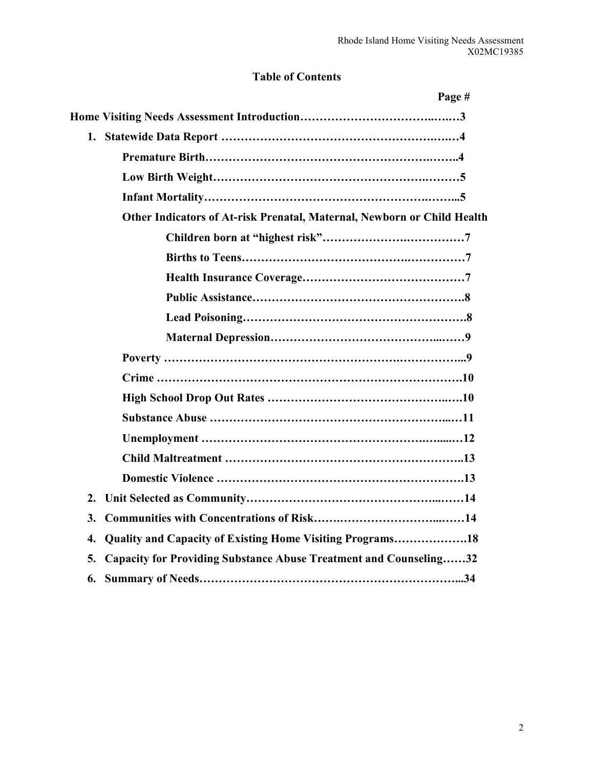# **Table of Contents**

| Page #                                                                         |
|--------------------------------------------------------------------------------|
|                                                                                |
| 1.                                                                             |
|                                                                                |
|                                                                                |
|                                                                                |
| Other Indicators of At-risk Prenatal, Maternal, Newborn or Child Health        |
|                                                                                |
|                                                                                |
|                                                                                |
|                                                                                |
|                                                                                |
|                                                                                |
|                                                                                |
|                                                                                |
|                                                                                |
|                                                                                |
|                                                                                |
|                                                                                |
|                                                                                |
| 2.                                                                             |
| 3.                                                                             |
| Quality and Capacity of Existing Home Visiting Programs18<br>4.                |
| 5.<br><b>Capacity for Providing Substance Abuse Treatment and Counseling32</b> |
| 6.                                                                             |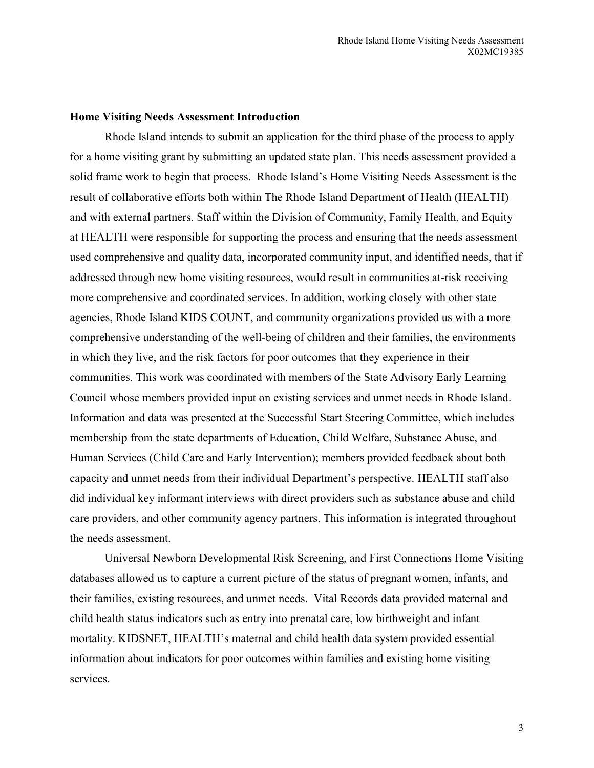#### **Home Visiting Needs Assessment Introduction**

Rhode Island intends to submit an application for the third phase of the process to apply for a home visiting grant by submitting an updated state plan. This needs assessment provided a solid frame work to begin that process. Rhode Island's Home Visiting Needs Assessment is the result of collaborative efforts both within The Rhode Island Department of Health (HEALTH) and with external partners. Staff within the Division of Community, Family Health, and Equity at HEALTH were responsible for supporting the process and ensuring that the needs assessment used comprehensive and quality data, incorporated community input, and identified needs, that if addressed through new home visiting resources, would result in communities at-risk receiving more comprehensive and coordinated services. In addition, working closely with other state agencies, Rhode Island KIDS COUNT, and community organizations provided us with a more comprehensive understanding of the well-being of children and their families, the environments in which they live, and the risk factors for poor outcomes that they experience in their communities. This work was coordinated with members of the State Advisory Early Learning Council whose members provided input on existing services and unmet needs in Rhode Island. Information and data was presented at the Successful Start Steering Committee, which includes membership from the state departments of Education, Child Welfare, Substance Abuse, and Human Services (Child Care and Early Intervention); members provided feedback about both capacity and unmet needs from their individual Department's perspective. HEALTH staff also did individual key informant interviews with direct providers such as substance abuse and child care providers, and other community agency partners. This information is integrated throughout the needs assessment.

Universal Newborn Developmental Risk Screening, and First Connections Home Visiting databases allowed us to capture a current picture of the status of pregnant women, infants, and their families, existing resources, and unmet needs. Vital Records data provided maternal and child health status indicators such as entry into prenatal care, low birthweight and infant mortality. KIDSNET, HEALTH's maternal and child health data system provided essential information about indicators for poor outcomes within families and existing home visiting services.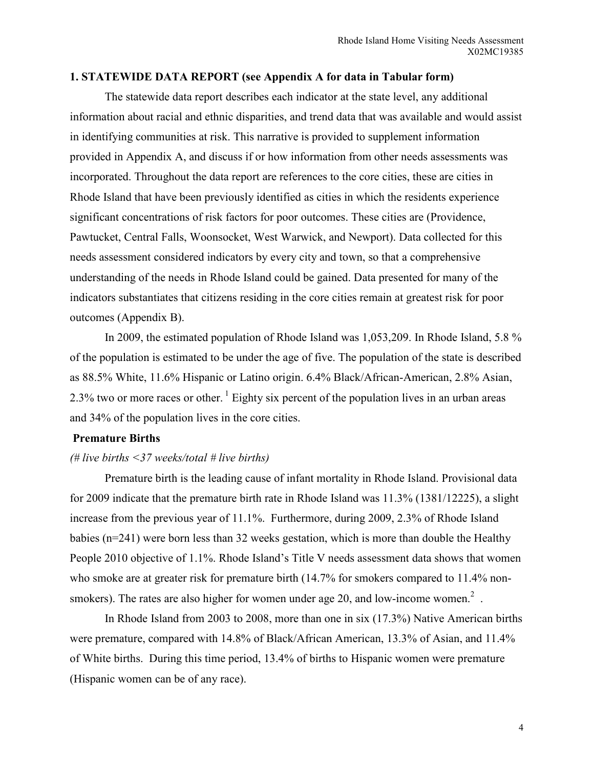#### **1. STATEWIDE DATA REPORT (see Appendix A for data in Tabular form)**

 The statewide data report describes each indicator at the state level, any additional information about racial and ethnic disparities, and trend data that was available and would assist in identifying communities at risk. This narrative is provided to supplement information provided in Appendix A, and discuss if or how information from other needs assessments was incorporated. Throughout the data report are references to the core cities, these are cities in Rhode Island that have been previously identified as cities in which the residents experience significant concentrations of risk factors for poor outcomes. These cities are (Providence, Pawtucket, Central Falls, Woonsocket, West Warwick, and Newport). Data collected for this needs assessment considered indicators by every city and town, so that a comprehensive understanding of the needs in Rhode Island could be gained. Data presented for many of the indicators substantiates that citizens residing in the core cities remain at greatest risk for poor outcomes (Appendix B).

 In 2009, the estimated population of Rhode Island was 1,053,209. In Rhode Island, 5.8 % of the population is estimated to be under the age of five. The population of the state is described as 88.5% White, 11.6% Hispanic or Latino origin. 6.4% Black/African-American, 2.8% Asian, 2.3% two or more races or other.<sup>1</sup> Eighty six percent of the population lives in an urban areas and 34% of the population lives in the core cities.

# **Premature Births**

#### *(# live births <37 weeks/total # live births)*

 Premature birth is the leading cause of infant mortality in Rhode Island. Provisional data for 2009 indicate that the premature birth rate in Rhode Island was 11.3% (1381/12225), a slight increase from the previous year of 11.1%. Furthermore, during 2009, 2.3% of Rhode Island babies (n=241) were born less than 32 weeks gestation, which is more than double the Healthy People 2010 objective of 1.1%. Rhode Island's Title V needs assessment data shows that women who smoke are at greater risk for premature birth (14.7% for smokers compared to 11.4% nonsmokers). The rates are also higher for women under age 20, and low-income women.<sup>2</sup>.

In Rhode Island from 2003 to 2008, more than one in six (17.3%) Native American births were premature, compared with 14.8% of Black/African American, 13.3% of Asian, and 11.4% of White births. During this time period, 13.4% of births to Hispanic women were premature (Hispanic women can be of any race).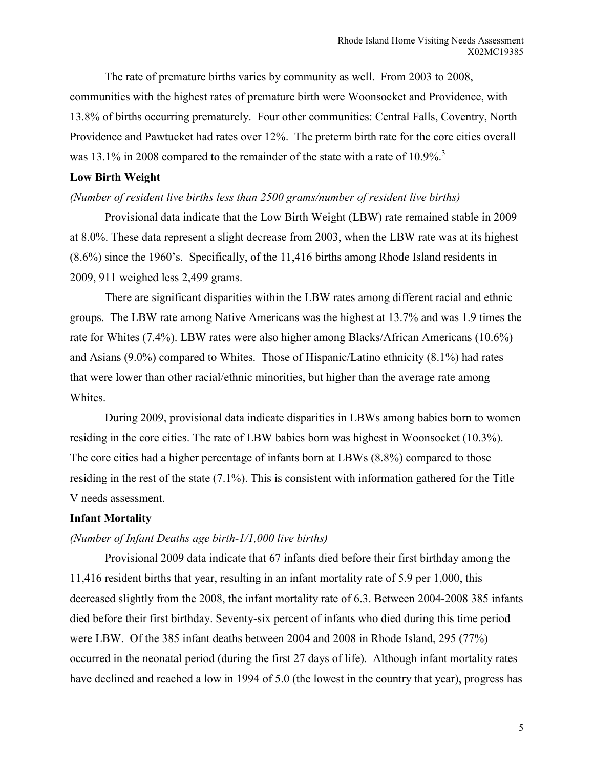The rate of premature births varies by community as well. From 2003 to 2008, communities with the highest rates of premature birth were Woonsocket and Providence, with 13.8% of births occurring prematurely. Four other communities: Central Falls, Coventry, North Providence and Pawtucket had rates over 12%. The preterm birth rate for the core cities overall was 13.1% in 2008 compared to the remainder of the state with a rate of  $10.9\%$ <sup>3</sup>

# **Low Birth Weight**

### *(Number of resident live births less than 2500 grams/number of resident live births)*

Provisional data indicate that the Low Birth Weight (LBW) rate remained stable in 2009 at 8.0%. These data represent a slight decrease from 2003, when the LBW rate was at its highest (8.6%) since the 1960's. Specifically, of the 11,416 births among Rhode Island residents in 2009, 911 weighed less 2,499 grams.

There are significant disparities within the LBW rates among different racial and ethnic groups. The LBW rate among Native Americans was the highest at 13.7% and was 1.9 times the rate for Whites (7.4%). LBW rates were also higher among Blacks/African Americans (10.6%) and Asians (9.0%) compared to Whites. Those of Hispanic/Latino ethnicity (8.1%) had rates that were lower than other racial/ethnic minorities, but higher than the average rate among Whites.

During 2009, provisional data indicate disparities in LBWs among babies born to women residing in the core cities. The rate of LBW babies born was highest in Woonsocket (10.3%). The core cities had a higher percentage of infants born at LBWs (8.8%) compared to those residing in the rest of the state (7.1%). This is consistent with information gathered for the Title V needs assessment.

#### **Infant Mortality**

#### *(Number of Infant Deaths age birth-1/1,000 live births)*

Provisional 2009 data indicate that 67 infants died before their first birthday among the 11,416 resident births that year, resulting in an infant mortality rate of 5.9 per 1,000, this decreased slightly from the 2008, the infant mortality rate of 6.3. Between 2004-2008 385 infants died before their first birthday. Seventy-six percent of infants who died during this time period were LBW. Of the 385 infant deaths between 2004 and 2008 in Rhode Island, 295 (77%) occurred in the neonatal period (during the first 27 days of life). Although infant mortality rates have declined and reached a low in 1994 of 5.0 (the lowest in the country that year), progress has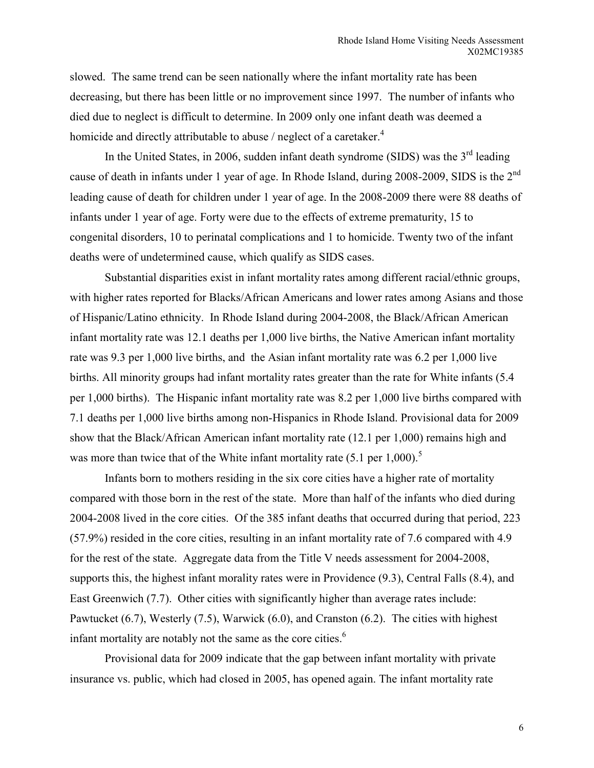slowed. The same trend can be seen nationally where the infant mortality rate has been decreasing, but there has been little or no improvement since 1997. The number of infants who died due to neglect is difficult to determine. In 2009 only one infant death was deemed a homicide and directly attributable to abuse  $/$  neglect of a caretaker.<sup>4</sup>

In the United States, in 2006, sudden infant death syndrome (SIDS) was the  $3<sup>rd</sup>$  leading cause of death in infants under 1 year of age. In Rhode Island, during 2008-2009, SIDS is the 2<sup>nd</sup> leading cause of death for children under 1 year of age. In the 2008-2009 there were 88 deaths of infants under 1 year of age. Forty were due to the effects of extreme prematurity, 15 to congenital disorders, 10 to perinatal complications and 1 to homicide. Twenty two of the infant deaths were of undetermined cause, which qualify as SIDS cases.

Substantial disparities exist in infant mortality rates among different racial/ethnic groups, with higher rates reported for Blacks/African Americans and lower rates among Asians and those of Hispanic/Latino ethnicity. In Rhode Island during 2004-2008, the Black/African American infant mortality rate was 12.1 deaths per 1,000 live births, the Native American infant mortality rate was 9.3 per 1,000 live births, and the Asian infant mortality rate was 6.2 per 1,000 live births. All minority groups had infant mortality rates greater than the rate for White infants (5.4 per 1,000 births). The Hispanic infant mortality rate was 8.2 per 1,000 live births compared with 7.1 deaths per 1,000 live births among non-Hispanics in Rhode Island. Provisional data for 2009 show that the Black/African American infant mortality rate (12.1 per 1,000) remains high and was more than twice that of the White infant mortality rate  $(5.1 \text{ per } 1,000)$ .<sup>5</sup>

Infants born to mothers residing in the six core cities have a higher rate of mortality compared with those born in the rest of the state. More than half of the infants who died during 2004-2008 lived in the core cities. Of the 385 infant deaths that occurred during that period, 223 (57.9%) resided in the core cities, resulting in an infant mortality rate of 7.6 compared with 4.9 for the rest of the state. Aggregate data from the Title V needs assessment for 2004-2008, supports this, the highest infant morality rates were in Providence (9.3), Central Falls (8.4), and East Greenwich (7.7). Other cities with significantly higher than average rates include: Pawtucket (6.7), Westerly (7.5), Warwick (6.0), and Cranston (6.2). The cities with highest infant mortality are notably not the same as the core cities. $<sup>6</sup>$ </sup>

 Provisional data for 2009 indicate that the gap between infant mortality with private insurance vs. public, which had closed in 2005, has opened again. The infant mortality rate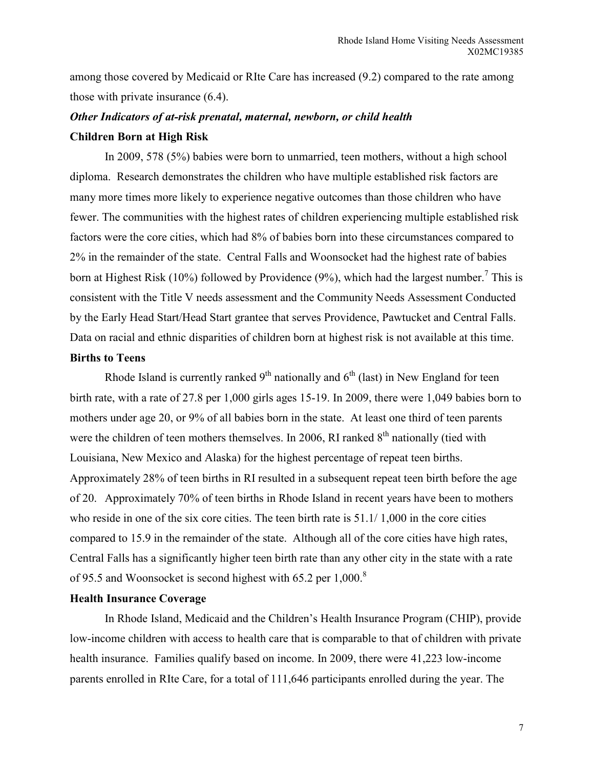among those covered by Medicaid or RIte Care has increased (9.2) compared to the rate among those with private insurance (6.4).

# *Other Indicators of at-risk prenatal, maternal, newborn, or child health*  **Children Born at High Risk**

 In 2009, 578 (5%) babies were born to unmarried, teen mothers, without a high school diploma. Research demonstrates the children who have multiple established risk factors are many more times more likely to experience negative outcomes than those children who have fewer. The communities with the highest rates of children experiencing multiple established risk factors were the core cities, which had 8% of babies born into these circumstances compared to 2% in the remainder of the state. Central Falls and Woonsocket had the highest rate of babies born at Highest Risk (10%) followed by Providence (9%), which had the largest number.<sup>7</sup> This is consistent with the Title V needs assessment and the Community Needs Assessment Conducted by the Early Head Start/Head Start grantee that serves Providence, Pawtucket and Central Falls. Data on racial and ethnic disparities of children born at highest risk is not available at this time.

# **Births to Teens**

Rhode Island is currently ranked  $9<sup>th</sup>$  nationally and  $6<sup>th</sup>$  (last) in New England for teen birth rate, with a rate of 27.8 per 1,000 girls ages 15-19. In 2009, there were 1,049 babies born to mothers under age 20, or 9% of all babies born in the state. At least one third of teen parents were the children of teen mothers themselves. In 2006, RI ranked  $8<sup>th</sup>$  nationally (tied with Louisiana, New Mexico and Alaska) for the highest percentage of repeat teen births. Approximately 28% of teen births in RI resulted in a subsequent repeat teen birth before the age of 20. Approximately 70% of teen births in Rhode Island in recent years have been to mothers who reside in one of the six core cities. The teen birth rate is  $51.1/1,000$  in the core cities compared to 15.9 in the remainder of the state. Although all of the core cities have high rates, Central Falls has a significantly higher teen birth rate than any other city in the state with a rate of 95.5 and Woonsocket is second highest with 65.2 per 1,000.<sup>8</sup>

# **Health Insurance Coverage**

In Rhode Island, Medicaid and the Children's Health Insurance Program (CHIP), provide low-income children with access to health care that is comparable to that of children with private health insurance. Families qualify based on income. In 2009, there were 41,223 low-income parents enrolled in RIte Care, for a total of 111,646 participants enrolled during the year. The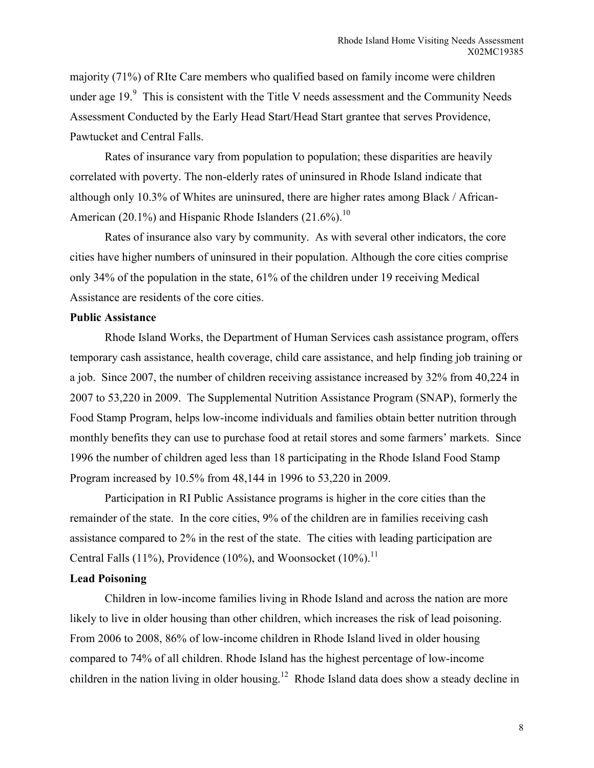majority (71%) of RIte Care members who qualified based on family income were children under age 19. $\degree$  This is consistent with the Title V needs assessment and the Community Needs Assessment Conducted by the Early Head Start/Head Start grantee that serves Providence, Pawtucket and Central Falls.

Rates of insurance vary from population to population; these disparities are heavily correlated with poverty. The non-elderly rates of uninsured in Rhode Island indicate that although only 10.3% of Whites are uninsured, there are higher rates among Black / African-American (20.1%) and Hispanic Rhode Islanders (21.6%).<sup>10</sup>

Rates of insurance also vary by community. As with several other indicators, the core cities have higher numbers of uninsured in their population. Although the core cities comprise only 34% of the population in the state, 61% of the children under 19 receiving Medical Assistance are residents of the core cities.

#### **Public Assistance**

 Rhode Island Works, the Department of Human Services cash assistance program, offers temporary cash assistance, health coverage, child care assistance, and help finding job training or a job. Since 2007, the number of children receiving assistance increased by 32% from 40,224 in 2007 to 53,220 in 2009. The Supplemental Nutrition Assistance Program (SNAP), formerly the Food Stamp Program, helps low-income individuals and families obtain better nutrition through monthly benefits they can use to purchase food at retail stores and some farmers' markets. Since 1996 the number of children aged less than 18 participating in the Rhode Island Food Stamp Program increased by 10.5% from 48,144 in 1996 to 53,220 in 2009.

 Participation in RI Public Assistance programs is higher in the core cities than the remainder of the state. In the core cities, 9% of the children are in families receiving cash assistance compared to 2% in the rest of the state. The cities with leading participation are Central Falls (11%), Providence (10%), and Woonsocket (10%).<sup>11</sup>

### **Lead Poisoning**

Children in low-income families living in Rhode Island and across the nation are more likely to live in older housing than other children, which increases the risk of lead poisoning. From 2006 to 2008, 86% of low-income children in Rhode Island lived in older housing compared to 74% of all children. Rhode Island has the highest percentage of low-income children in the nation living in older housing.<sup>12</sup> Rhode Island data does show a steady decline in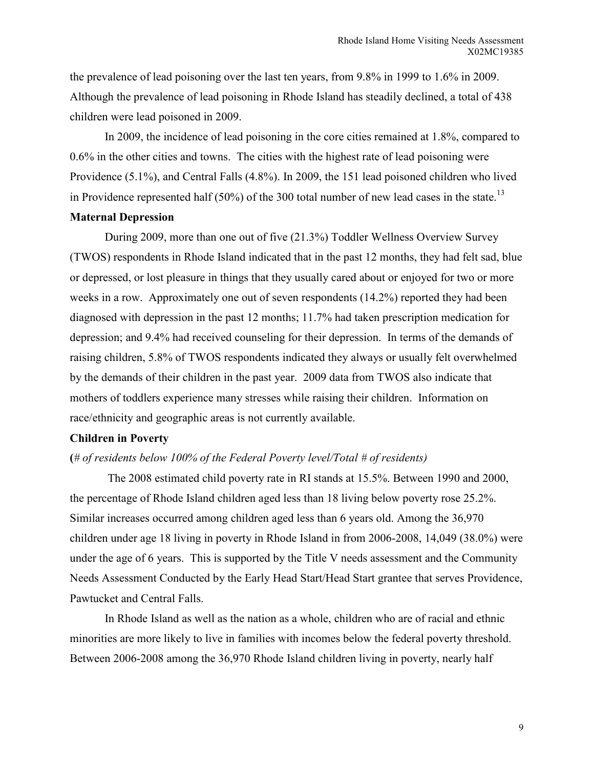the prevalence of lead poisoning over the last ten years, from 9.8% in 1999 to 1.6% in 2009. Although the prevalence of lead poisoning in Rhode Island has steadily declined, a total of 438 children were lead poisoned in 2009.

 In 2009, the incidence of lead poisoning in the core cities remained at 1.8%, compared to 0.6% in the other cities and towns. The cities with the highest rate of lead poisoning were Providence (5.1%), and Central Falls (4.8%). In 2009, the 151 lead poisoned children who lived in Providence represented half (50%) of the 300 total number of new lead cases in the state.<sup>13</sup>

#### **Maternal Depression**

 During 2009, more than one out of five (21.3%) Toddler Wellness Overview Survey (TWOS) respondents in Rhode Island indicated that in the past 12 months, they had felt sad, blue or depressed, or lost pleasure in things that they usually cared about or enjoyed for two or more weeks in a row. Approximately one out of seven respondents (14.2%) reported they had been diagnosed with depression in the past 12 months; 11.7% had taken prescription medication for depression; and 9.4% had received counseling for their depression. In terms of the demands of raising children, 5.8% of TWOS respondents indicated they always or usually felt overwhelmed by the demands of their children in the past year. 2009 data from TWOS also indicate that mothers of toddlers experience many stresses while raising their children. Information on race/ethnicity and geographic areas is not currently available.

# **Children in Poverty**

#### **(***# of residents below 100% of the Federal Poverty level/Total # of residents)*

 The 2008 estimated child poverty rate in RI stands at 15.5%. Between 1990 and 2000, the percentage of Rhode Island children aged less than 18 living below poverty rose 25.2%. Similar increases occurred among children aged less than 6 years old. Among the 36,970 children under age 18 living in poverty in Rhode Island in from 2006-2008, 14,049 (38.0%) were under the age of 6 years. This is supported by the Title V needs assessment and the Community Needs Assessment Conducted by the Early Head Start/Head Start grantee that serves Providence, Pawtucket and Central Falls.

 In Rhode Island as well as the nation as a whole, children who are of racial and ethnic minorities are more likely to live in families with incomes below the federal poverty threshold. Between 2006-2008 among the 36,970 Rhode Island children living in poverty, nearly half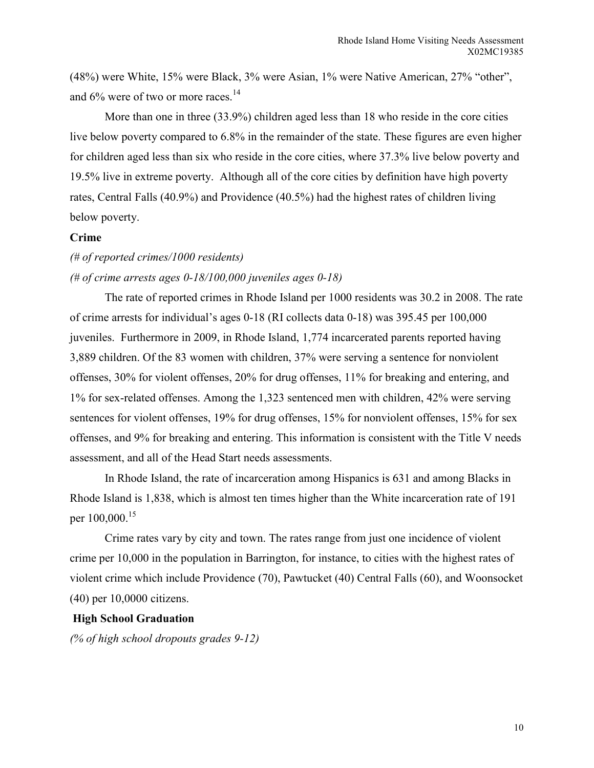(48%) were White, 15% were Black, 3% were Asian, 1% were Native American, 27% "other", and  $6\%$  were of two or more races.<sup>14</sup>

 More than one in three (33.9%) children aged less than 18 who reside in the core cities live below poverty compared to 6.8% in the remainder of the state. These figures are even higher for children aged less than six who reside in the core cities, where 37.3% live below poverty and 19.5% live in extreme poverty. Although all of the core cities by definition have high poverty rates, Central Falls (40.9%) and Providence (40.5%) had the highest rates of children living below poverty.

# **Crime**

# *(# of reported crimes/1000 residents)*

# *(# of crime arrests ages 0-18/100,000 juveniles ages 0-18)*

The rate of reported crimes in Rhode Island per 1000 residents was 30.2 in 2008. The rate of crime arrests for individual's ages 0-18 (RI collects data 0-18) was 395.45 per 100,000 juveniles. Furthermore in 2009, in Rhode Island, 1,774 incarcerated parents reported having 3,889 children. Of the 83 women with children, 37% were serving a sentence for nonviolent offenses, 30% for violent offenses, 20% for drug offenses, 11% for breaking and entering, and 1% for sex-related offenses. Among the 1,323 sentenced men with children, 42% were serving sentences for violent offenses, 19% for drug offenses, 15% for nonviolent offenses, 15% for sex offenses, and 9% for breaking and entering. This information is consistent with the Title V needs assessment, and all of the Head Start needs assessments.

 In Rhode Island, the rate of incarceration among Hispanics is 631 and among Blacks in Rhode Island is 1,838, which is almost ten times higher than the White incarceration rate of 191 per 100,000.<sup>15</sup>

Crime rates vary by city and town. The rates range from just one incidence of violent crime per 10,000 in the population in Barrington, for instance, to cities with the highest rates of violent crime which include Providence (70), Pawtucket (40) Central Falls (60), and Woonsocket (40) per 10,0000 citizens.

# **High School Graduation**

*(% of high school dropouts grades 9-12)*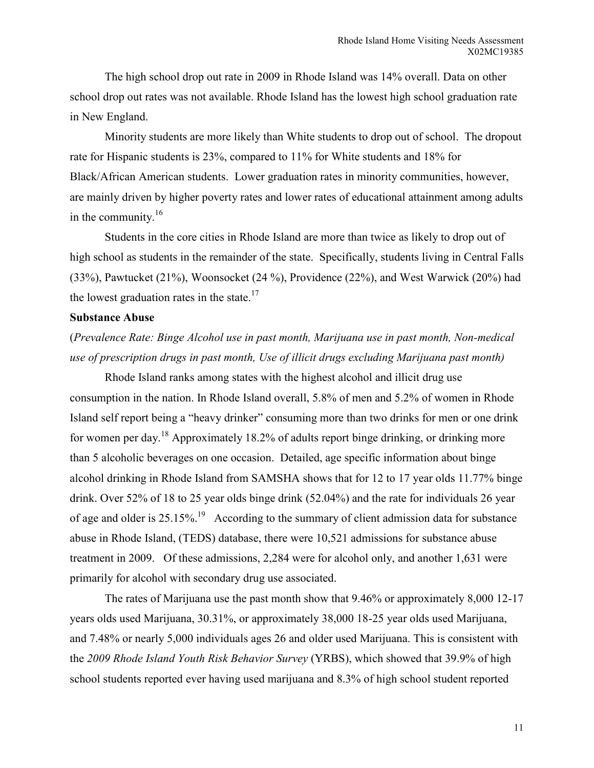The high school drop out rate in 2009 in Rhode Island was 14% overall. Data on other school drop out rates was not available. Rhode Island has the lowest high school graduation rate in New England.

Minority students are more likely than White students to drop out of school. The dropout rate for Hispanic students is 23%, compared to 11% for White students and 18% for Black/African American students. Lower graduation rates in minority communities, however, are mainly driven by higher poverty rates and lower rates of educational attainment among adults in the community.<sup>16</sup>

 Students in the core cities in Rhode Island are more than twice as likely to drop out of high school as students in the remainder of the state. Specifically, students living in Central Falls (33%), Pawtucket (21%), Woonsocket (24 %), Providence (22%), and West Warwick (20%) had the lowest graduation rates in the state. $17$ 

#### **Substance Abuse**

(*Prevalence Rate: Binge Alcohol use in past month, Marijuana use in past month, Non-medical use of prescription drugs in past month, Use of illicit drugs excluding Marijuana past month)* 

Rhode Island ranks among states with the highest alcohol and illicit drug use consumption in the nation. In Rhode Island overall, 5.8% of men and 5.2% of women in Rhode Island self report being a "heavy drinker" consuming more than two drinks for men or one drink for women per day.<sup>18</sup> Approximately 18.2% of adults report binge drinking, or drinking more than 5 alcoholic beverages on one occasion. Detailed, age specific information about binge alcohol drinking in Rhode Island from SAMSHA shows that for 12 to 17 year olds 11.77% binge drink. Over 52% of 18 to 25 year olds binge drink (52.04%) and the rate for individuals 26 year of age and older is 25.15%.<sup>19</sup> According to the summary of client admission data for substance abuse in Rhode Island, (TEDS) database, there were 10,521 admissions for substance abuse treatment in 2009. Of these admissions, 2,284 were for alcohol only, and another 1,631 were primarily for alcohol with secondary drug use associated.

The rates of Marijuana use the past month show that 9.46% or approximately 8,000 12-17 years olds used Marijuana, 30.31%, or approximately 38,000 18-25 year olds used Marijuana, and 7.48% or nearly 5,000 individuals ages 26 and older used Marijuana. This is consistent with the *2009 Rhode Island Youth Risk Behavior Survey* (YRBS), which showed that 39.9% of high school students reported ever having used marijuana and 8.3% of high school student reported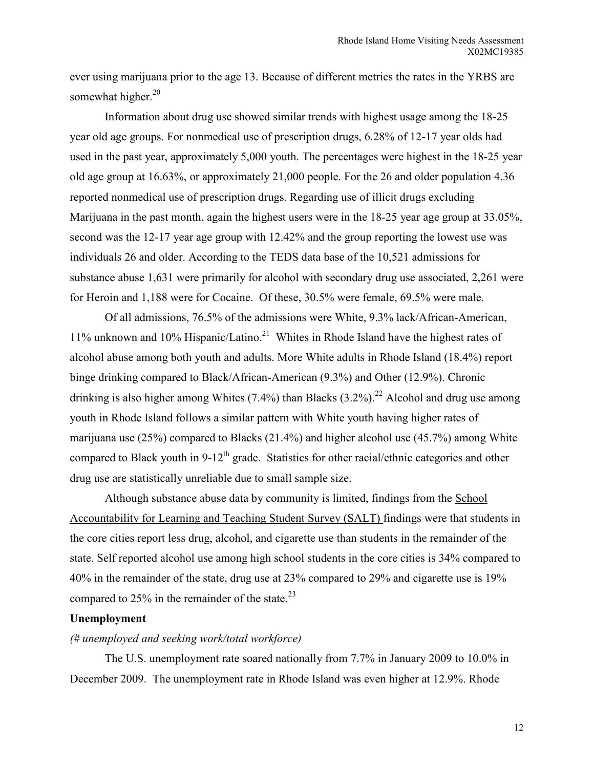ever using marijuana prior to the age 13. Because of different metrics the rates in the YRBS are somewhat higher.<sup>20</sup>

 Information about drug use showed similar trends with highest usage among the 18-25 year old age groups. For nonmedical use of prescription drugs, 6.28% of 12-17 year olds had used in the past year, approximately 5,000 youth. The percentages were highest in the 18-25 year old age group at 16.63%, or approximately 21,000 people. For the 26 and older population 4.36 reported nonmedical use of prescription drugs. Regarding use of illicit drugs excluding Marijuana in the past month, again the highest users were in the 18-25 year age group at 33.05%, second was the 12-17 year age group with 12.42% and the group reporting the lowest use was individuals 26 and older. According to the TEDS data base of the 10,521 admissions for substance abuse 1,631 were primarily for alcohol with secondary drug use associated, 2,261 were for Heroin and 1,188 were for Cocaine. Of these, 30.5% were female, 69.5% were male.

Of all admissions, 76.5% of the admissions were White, 9.3% lack/African-American, 11% unknown and 10% Hispanic/Latino.<sup>21</sup> Whites in Rhode Island have the highest rates of alcohol abuse among both youth and adults. More White adults in Rhode Island (18.4%) report binge drinking compared to Black/African-American (9.3%) and Other (12.9%). Chronic drinking is also higher among Whites  $(7.4\%)$  than Blacks  $(3.2\%)$ .<sup>22</sup> Alcohol and drug use among youth in Rhode Island follows a similar pattern with White youth having higher rates of marijuana use (25%) compared to Blacks (21.4%) and higher alcohol use (45.7%) among White compared to Black youth in  $9-12<sup>th</sup>$  grade. Statistics for other racial/ethnic categories and other drug use are statistically unreliable due to small sample size.

 Although substance abuse data by community is limited, findings from the School Accountability for Learning and Teaching Student Survey (SALT) findings were that students in the core cities report less drug, alcohol, and cigarette use than students in the remainder of the state. Self reported alcohol use among high school students in the core cities is 34% compared to 40% in the remainder of the state, drug use at 23% compared to 29% and cigarette use is 19% compared to  $25\%$  in the remainder of the state.<sup>23</sup>

# **Unemployment**

#### *(# unemployed and seeking work/total workforce)*

 The U.S. unemployment rate soared nationally from 7.7% in January 2009 to 10.0% in December 2009. The unemployment rate in Rhode Island was even higher at 12.9%. Rhode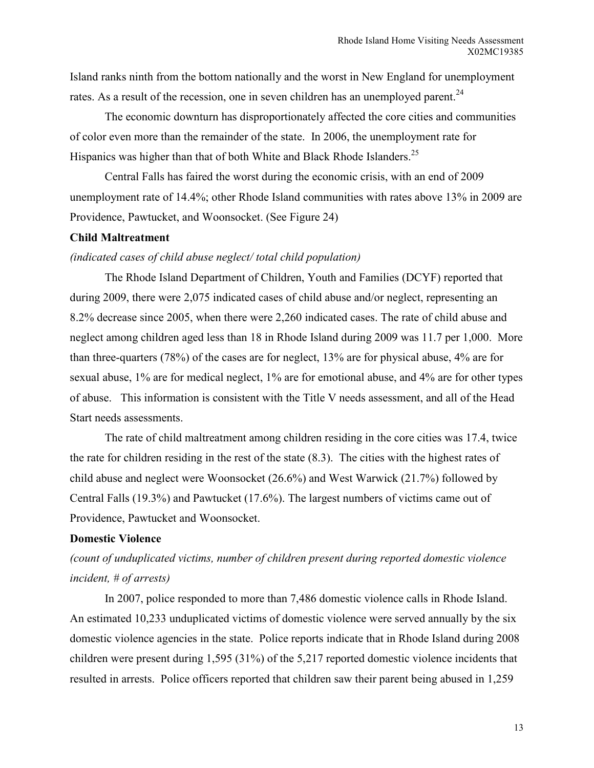Island ranks ninth from the bottom nationally and the worst in New England for unemployment rates. As a result of the recession, one in seven children has an unemployed parent. $^{24}$ 

The economic downturn has disproportionately affected the core cities and communities of color even more than the remainder of the state. In 2006, the unemployment rate for Hispanics was higher than that of both White and Black Rhode Islanders.<sup>25</sup>

Central Falls has faired the worst during the economic crisis, with an end of 2009 unemployment rate of 14.4%; other Rhode Island communities with rates above 13% in 2009 are Providence, Pawtucket, and Woonsocket. (See Figure 24)

### **Child Maltreatment**

#### *(indicated cases of child abuse neglect/ total child population)*

The Rhode Island Department of Children, Youth and Families (DCYF) reported that during 2009, there were 2,075 indicated cases of child abuse and/or neglect, representing an 8.2% decrease since 2005, when there were 2,260 indicated cases. The rate of child abuse and neglect among children aged less than 18 in Rhode Island during 2009 was 11.7 per 1,000. More than three-quarters (78%) of the cases are for neglect, 13% are for physical abuse, 4% are for sexual abuse, 1% are for medical neglect, 1% are for emotional abuse, and 4% are for other types of abuse. This information is consistent with the Title V needs assessment, and all of the Head Start needs assessments.

 The rate of child maltreatment among children residing in the core cities was 17.4, twice the rate for children residing in the rest of the state (8.3). The cities with the highest rates of child abuse and neglect were Woonsocket (26.6%) and West Warwick (21.7%) followed by Central Falls (19.3%) and Pawtucket (17.6%). The largest numbers of victims came out of Providence, Pawtucket and Woonsocket.

#### **Domestic Violence**

# *(count of unduplicated victims, number of children present during reported domestic violence incident, # of arrests)*

 In 2007, police responded to more than 7,486 domestic violence calls in Rhode Island. An estimated 10,233 unduplicated victims of domestic violence were served annually by the six domestic violence agencies in the state. Police reports indicate that in Rhode Island during 2008 children were present during 1,595 (31%) of the 5,217 reported domestic violence incidents that resulted in arrests. Police officers reported that children saw their parent being abused in 1,259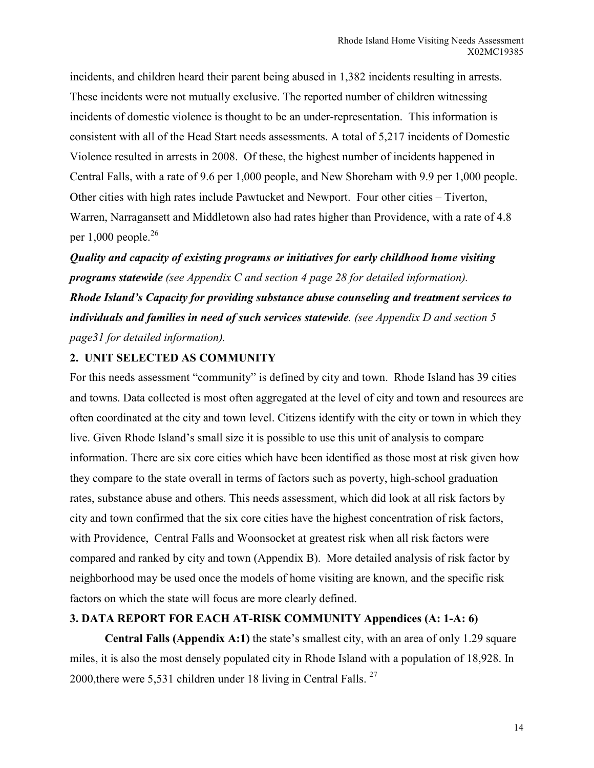incidents, and children heard their parent being abused in 1,382 incidents resulting in arrests. These incidents were not mutually exclusive. The reported number of children witnessing incidents of domestic violence is thought to be an under-representation. This information is consistent with all of the Head Start needs assessments. A total of 5,217 incidents of Domestic Violence resulted in arrests in 2008. Of these, the highest number of incidents happened in Central Falls, with a rate of 9.6 per 1,000 people, and New Shoreham with 9.9 per 1,000 people. Other cities with high rates include Pawtucket and Newport. Four other cities – Tiverton, Warren, Narragansett and Middletown also had rates higher than Providence, with a rate of 4.8 per 1,000 people. $26$ 

*Quality and capacity of existing programs or initiatives for early childhood home visiting programs statewide (see Appendix C and section 4 page 28 for detailed information). Rhode Island's Capacity for providing substance abuse counseling and treatment services to individuals and families in need of such services statewide. (see Appendix D and section 5 page31 for detailed information).* 

# **2. UNIT SELECTED AS COMMUNITY**

For this needs assessment "community" is defined by city and town. Rhode Island has 39 cities and towns. Data collected is most often aggregated at the level of city and town and resources are often coordinated at the city and town level. Citizens identify with the city or town in which they live. Given Rhode Island's small size it is possible to use this unit of analysis to compare information. There are six core cities which have been identified as those most at risk given how they compare to the state overall in terms of factors such as poverty, high-school graduation rates, substance abuse and others. This needs assessment, which did look at all risk factors by city and town confirmed that the six core cities have the highest concentration of risk factors, with Providence, Central Falls and Woonsocket at greatest risk when all risk factors were compared and ranked by city and town (Appendix B). More detailed analysis of risk factor by neighborhood may be used once the models of home visiting are known, and the specific risk factors on which the state will focus are more clearly defined.

# **3. DATA REPORT FOR EACH AT-RISK COMMUNITY Appendices (A: 1-A: 6)**

**Central Falls (Appendix A:1)** the state's smallest city, with an area of only 1.29 square miles, it is also the most densely populated city in Rhode Island with a population of 18,928. In 2000, there were 5,531 children under 18 living in Central Falls.  $27$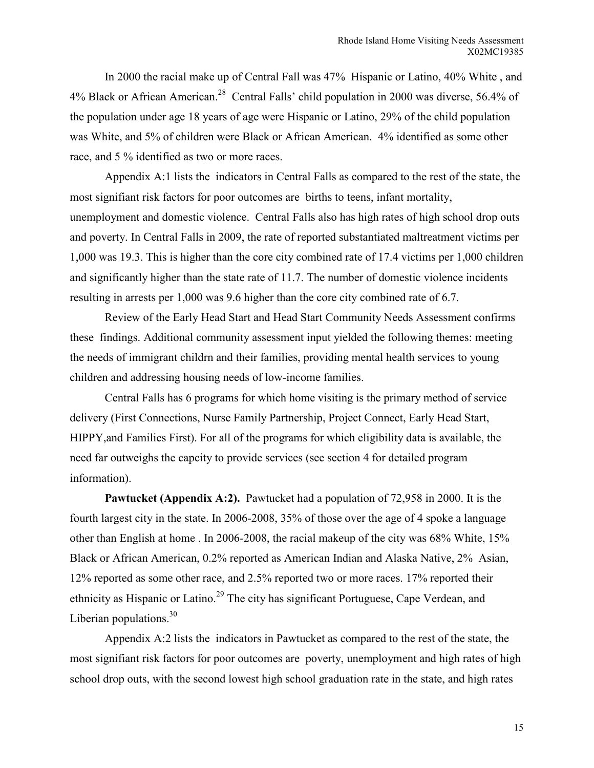In 2000 the racial make up of Central Fall was 47% Hispanic or Latino, 40% White , and 4% Black or African American.<sup>28</sup> Central Falls' child population in 2000 was diverse, 56.4% of the population under age 18 years of age were Hispanic or Latino, 29% of the child population was White, and 5% of children were Black or African American. 4% identified as some other race, and 5 % identified as two or more races.

Appendix A:1 lists the indicators in Central Falls as compared to the rest of the state, the most signifiant risk factors for poor outcomes are births to teens, infant mortality, unemployment and domestic violence. Central Falls also has high rates of high school drop outs and poverty. In Central Falls in 2009, the rate of reported substantiated maltreatment victims per 1,000 was 19.3. This is higher than the core city combined rate of 17.4 victims per 1,000 children and significantly higher than the state rate of 11.7. The number of domestic violence incidents resulting in arrests per 1,000 was 9.6 higher than the core city combined rate of 6.7.

Review of the Early Head Start and Head Start Community Needs Assessment confirms these findings. Additional community assessment input yielded the following themes: meeting the needs of immigrant childrn and their families, providing mental health services to young children and addressing housing needs of low-income families.

Central Falls has 6 programs for which home visiting is the primary method of service delivery (First Connections, Nurse Family Partnership, Project Connect, Early Head Start, HIPPY,and Families First). For all of the programs for which eligibility data is available, the need far outweighs the capcity to provide services (see section 4 for detailed program information).

**Pawtucket (Appendix A:2).** Pawtucket had a population of 72,958 in 2000. It is the fourth largest city in the state. In 2006-2008, 35% of those over the age of 4 spoke a language other than English at home . In 2006-2008, the racial makeup of the city was 68% White, 15% Black or African American, 0.2% reported as American Indian and Alaska Native, 2% Asian, 12% reported as some other race, and 2.5% reported two or more races. 17% reported their ethnicity as Hispanic or Latino.<sup>29</sup> The city has significant Portuguese, Cape Verdean, and Liberian populations.<sup>30</sup>

Appendix A:2 lists the indicators in Pawtucket as compared to the rest of the state, the most signifiant risk factors for poor outcomes are poverty, unemployment and high rates of high school drop outs, with the second lowest high school graduation rate in the state, and high rates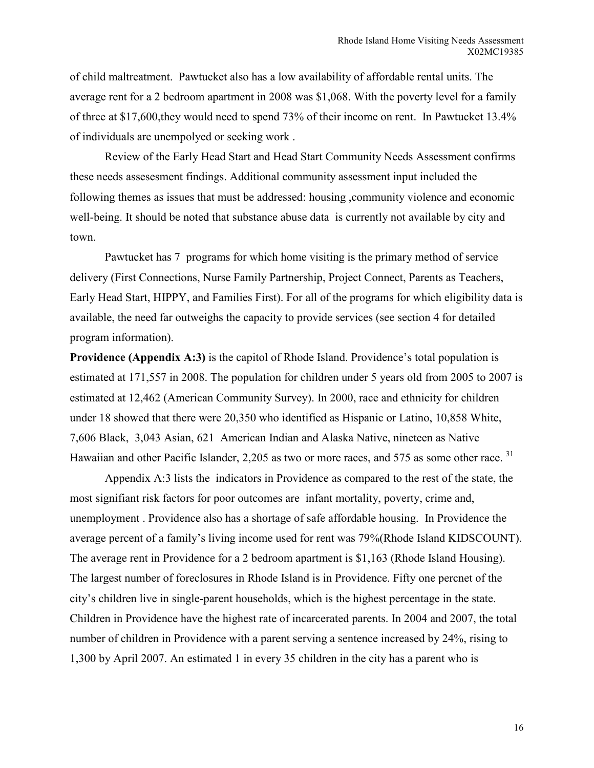of child maltreatment. Pawtucket also has a low availability of affordable rental units. The average rent for a 2 bedroom apartment in 2008 was \$1,068. With the poverty level for a family of three at \$17,600,they would need to spend 73% of their income on rent. In Pawtucket 13.4% of individuals are unempolyed or seeking work .

Review of the Early Head Start and Head Start Community Needs Assessment confirms these needs assesesment findings. Additional community assessment input included the following themes as issues that must be addressed: housing ,community violence and economic well-being. It should be noted that substance abuse data is currently not available by city and town.

Pawtucket has 7 programs for which home visiting is the primary method of service delivery (First Connections, Nurse Family Partnership, Project Connect, Parents as Teachers, Early Head Start, HIPPY, and Families First). For all of the programs for which eligibility data is available, the need far outweighs the capacity to provide services (see section 4 for detailed program information).

**Providence** (Appendix A:3) is the capitol of Rhode Island. Providence's total population is estimated at 171,557 in 2008. The population for children under 5 years old from 2005 to 2007 is estimated at 12,462 (American Community Survey). In 2000, race and ethnicity for children under 18 showed that there were 20,350 who identified as Hispanic or Latino, 10,858 White, 7,606 Black, 3,043 Asian, 621 American Indian and Alaska Native, nineteen as Native Hawaiian and other Pacific Islander, 2,205 as two or more races, and 575 as some other race.<sup>31</sup>

Appendix A:3 lists the indicators in Providence as compared to the rest of the state, the most signifiant risk factors for poor outcomes are infant mortality, poverty, crime and, unemployment . Providence also has a shortage of safe affordable housing. In Providence the average percent of a family's living income used for rent was 79%(Rhode Island KIDSCOUNT). The average rent in Providence for a 2 bedroom apartment is \$1,163 (Rhode Island Housing). The largest number of foreclosures in Rhode Island is in Providence. Fifty one percnet of the city's children live in single-parent households, which is the highest percentage in the state. Children in Providence have the highest rate of incarcerated parents. In 2004 and 2007, the total number of children in Providence with a parent serving a sentence increased by 24%, rising to 1,300 by April 2007. An estimated 1 in every 35 children in the city has a parent who is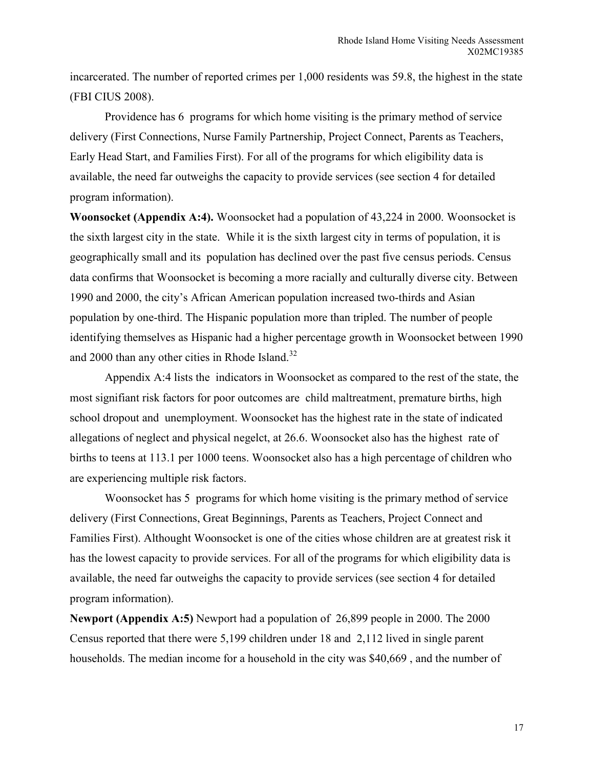incarcerated. The number of reported crimes per 1,000 residents was 59.8, the highest in the state (FBI CIUS 2008).

Providence has 6 programs for which home visiting is the primary method of service delivery (First Connections, Nurse Family Partnership, Project Connect, Parents as Teachers, Early Head Start, and Families First). For all of the programs for which eligibility data is available, the need far outweighs the capacity to provide services (see section 4 for detailed program information).

**Woonsocket (Appendix A:4).** Woonsocket had a population of 43,224 in 2000. Woonsocket is the sixth largest city in the state. While it is the sixth largest city in terms of population, it is geographically small and its population has declined over the past five census periods. Census data confirms that Woonsocket is becoming a more racially and culturally diverse city. Between 1990 and 2000, the city's African American population increased two-thirds and Asian population by one-third. The Hispanic population more than tripled. The number of people identifying themselves as Hispanic had a higher percentage growth in Woonsocket between 1990 and 2000 than any other cities in Rhode Island.<sup>32</sup>

Appendix A:4 lists the indicators in Woonsocket as compared to the rest of the state, the most signifiant risk factors for poor outcomes are child maltreatment, premature births, high school dropout and unemployment. Woonsocket has the highest rate in the state of indicated allegations of neglect and physical negelct, at 26.6. Woonsocket also has the highest rate of births to teens at 113.1 per 1000 teens. Woonsocket also has a high percentage of children who are experiencing multiple risk factors.

Woonsocket has 5 programs for which home visiting is the primary method of service delivery (First Connections, Great Beginnings, Parents as Teachers, Project Connect and Families First). Althought Woonsocket is one of the cities whose children are at greatest risk it has the lowest capacity to provide services. For all of the programs for which eligibility data is available, the need far outweighs the capacity to provide services (see section 4 for detailed program information).

**Newport (Appendix A:5)** Newport had a population of 26,899 people in 2000. The 2000 Census reported that there were 5,199 children under 18 and 2,112 lived in single parent households. The median income for a household in the city was \$40,669 , and the number of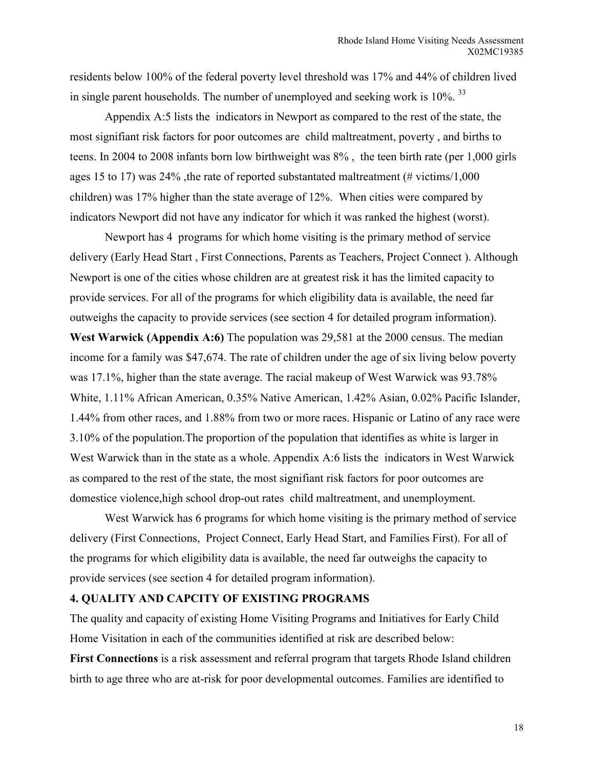residents below 100% of the federal poverty level threshold was 17% and 44% of children lived in single parent households. The number of unemployed and seeking work is  $10\%$ .  $33$ 

Appendix A:5 lists the indicators in Newport as compared to the rest of the state, the most signifiant risk factors for poor outcomes are child maltreatment, poverty , and births to teens. In 2004 to 2008 infants born low birthweight was 8% , the teen birth rate (per 1,000 girls ages 15 to 17) was  $24\%$ , the rate of reported substantated maltreatment (# victims/1,000 children) was 17% higher than the state average of 12%. When cities were compared by indicators Newport did not have any indicator for which it was ranked the highest (worst).

Newport has 4 programs for which home visiting is the primary method of service delivery (Early Head Start , First Connections, Parents as Teachers, Project Connect ). Although Newport is one of the cities whose children are at greatest risk it has the limited capacity to provide services. For all of the programs for which eligibility data is available, the need far outweighs the capacity to provide services (see section 4 for detailed program information). **West Warwick (Appendix A:6)** The population was 29,581 at the 2000 census. The median income for a family was \$47,674. The rate of children under the age of six living below poverty was 17.1%, higher than the state average. The racial makeup of West Warwick was 93.78% White, 1.11% African American, 0.35% Native American, 1.42% Asian, 0.02% Pacific Islander, 1.44% from other races, and 1.88% from two or more races. Hispanic or Latino of any race were 3.10% of the population.The proportion of the population that identifies as white is larger in West Warwick than in the state as a whole. Appendix A:6 lists the indicators in West Warwick as compared to the rest of the state, the most signifiant risk factors for poor outcomes are domestice violence,high school drop-out rates child maltreatment, and unemployment.

West Warwick has 6 programs for which home visiting is the primary method of service delivery (First Connections, Project Connect, Early Head Start, and Families First). For all of the programs for which eligibility data is available, the need far outweighs the capacity to provide services (see section 4 for detailed program information).

#### **4. QUALITY AND CAPCITY OF EXISTING PROGRAMS**

The quality and capacity of existing Home Visiting Programs and Initiatives for Early Child Home Visitation in each of the communities identified at risk are described below:

**First Connections** is a risk assessment and referral program that targets Rhode Island children birth to age three who are at-risk for poor developmental outcomes. Families are identified to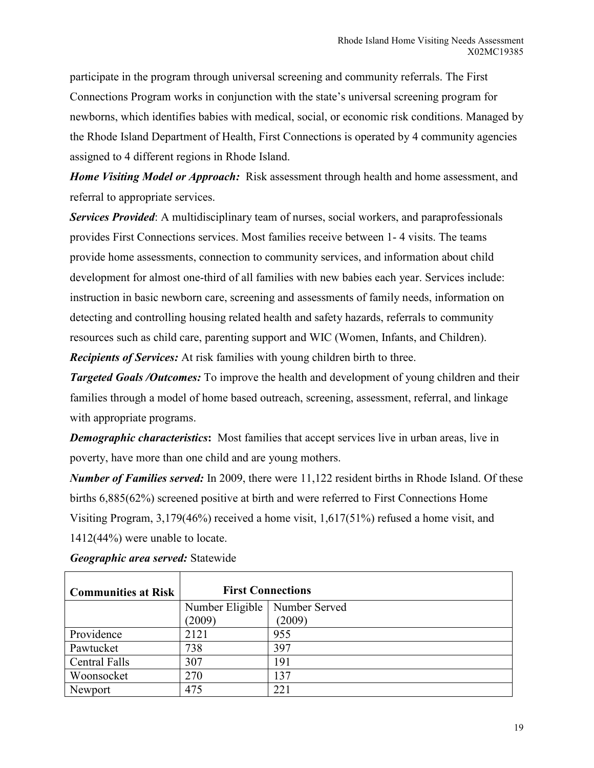participate in the program through universal screening and community referrals. The First Connections Program works in conjunction with the state's universal screening program for newborns, which identifies babies with medical, social, or economic risk conditions. Managed by the Rhode Island Department of Health, First Connections is operated by 4 community agencies assigned to 4 different regions in Rhode Island.

*Home Visiting Model or Approach:* Risk assessment through health and home assessment, and referral to appropriate services.

*Services Provided*: A multidisciplinary team of nurses, social workers, and paraprofessionals provides First Connections services. Most families receive between 1- 4 visits. The teams provide home assessments, connection to community services, and information about child development for almost one-third of all families with new babies each year. Services include: instruction in basic newborn care, screening and assessments of family needs, information on detecting and controlling housing related health and safety hazards, referrals to community resources such as child care, parenting support and WIC (Women, Infants, and Children).

*Recipients of Services:* At risk families with young children birth to three.

**Targeted Goals/Outcomes:** To improve the health and development of young children and their families through a model of home based outreach, screening, assessment, referral, and linkage with appropriate programs.

*Demographic characteristics*: Most families that accept services live in urban areas, live in poverty, have more than one child and are young mothers.

*Number of Families served:* In 2009, there were 11,122 resident births in Rhode Island. Of these births 6,885(62%) screened positive at birth and were referred to First Connections Home Visiting Program, 3,179(46%) received a home visit, 1,617(51%) refused a home visit, and 1412(44%) were unable to locate.

| <b>Communities at Risk</b> | <b>First Connections</b>        |        |
|----------------------------|---------------------------------|--------|
|                            | Number Eligible   Number Served |        |
|                            | (2009)                          | (2009) |
| Providence                 | 2121                            | 955    |
| Pawtucket                  | 738                             | 397    |
| <b>Central Falls</b>       | 307                             | 191    |
| Woonsocket                 | 270                             | 137    |
| Newport                    | 475                             | 221    |

*Geographic area served:* Statewide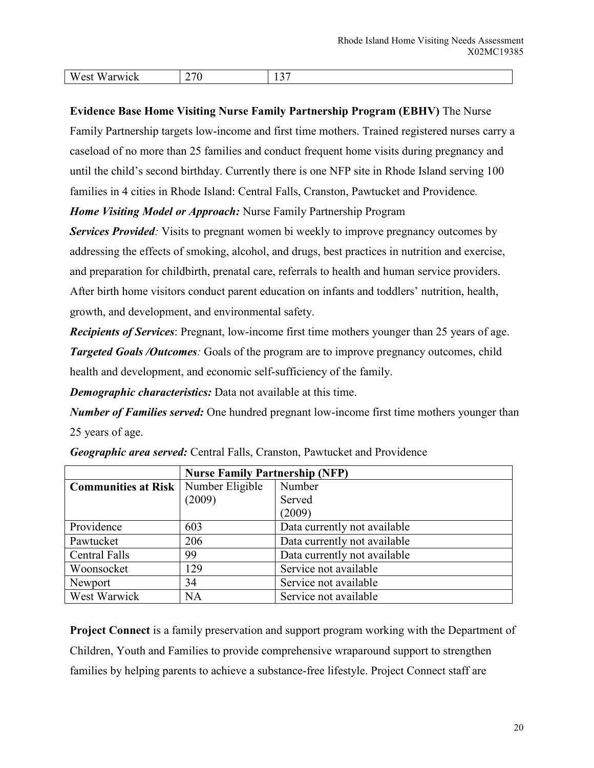| $-$<br>W<br>'∽ه ،<br>W<br>. <b>.</b> | $\sim$<br>. ט | $\sim$<br>. . <i>.</i><br>$\sim$ |
|--------------------------------------|---------------|----------------------------------|

**Evidence Base Home Visiting Nurse Family Partnership Program (EBHV)** The Nurse Family Partnership targets low-income and first time mothers. Trained registered nurses carry a caseload of no more than 25 families and conduct frequent home visits during pregnancy and until the child's second birthday. Currently there is one NFP site in Rhode Island serving 100 families in 4 cities in Rhode Island: Central Falls, Cranston, Pawtucket and Providence*.*

*Home Visiting Model or Approach:* Nurse Family Partnership Program

*Services Provided:* Visits to pregnant women bi weekly to improve pregnancy outcomes by addressing the effects of smoking, alcohol, and drugs, best practices in nutrition and exercise, and preparation for childbirth, prenatal care, referrals to health and human service providers. After birth home visitors conduct parent education on infants and toddlers' nutrition, health, growth, and development, and environmental safety.

*Recipients of Services*: Pregnant, low-income first time mothers younger than 25 years of age. *Targeted Goals /Outcomes:* Goals of the program are to improve pregnancy outcomes, child health and development, and economic self-sufficiency of the family.

*Demographic characteristics:* Data not available at this time.

*Number of Families served:* One hundred pregnant low-income first time mothers younger than 25 years of age.

|                            | <b>Nurse Family Partnership (NFP)</b> |                              |  |
|----------------------------|---------------------------------------|------------------------------|--|
| <b>Communities at Risk</b> | Number Eligible                       | Number                       |  |
|                            | (2009)                                | Served                       |  |
|                            |                                       | (2009)                       |  |
| Providence                 | 603                                   | Data currently not available |  |
| Pawtucket                  | 206                                   | Data currently not available |  |
| <b>Central Falls</b>       | 99                                    | Data currently not available |  |
| Woonsocket                 | 129                                   | Service not available        |  |
| Newport                    | 34                                    | Service not available        |  |
| West Warwick               | NA                                    | Service not available        |  |

*Geographic area served:* Central Falls, Cranston, Pawtucket and Providence

**Project Connect** is a family preservation and support program working with the Department of Children, Youth and Families to provide comprehensive wraparound support to strengthen families by helping parents to achieve a substance-free lifestyle. Project Connect staff are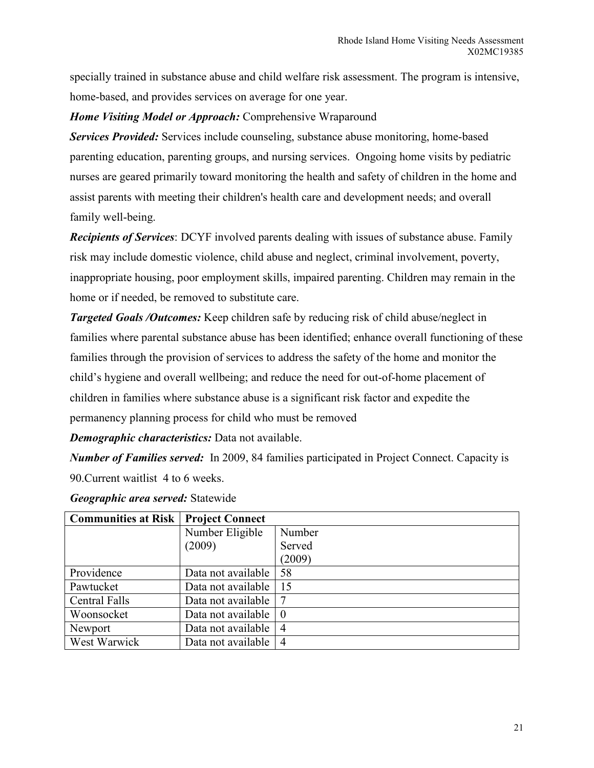specially trained in substance abuse and child welfare risk assessment. The program is intensive, home-based, and provides services on average for one year.

# *Home Visiting Model or Approach:* Comprehensive Wraparound

*Services Provided:* Services include counseling, substance abuse monitoring, home-based parenting education, parenting groups, and nursing services. Ongoing home visits by pediatric nurses are geared primarily toward monitoring the health and safety of children in the home and assist parents with meeting their children's health care and development needs; and overall family well-being.

*Recipients of Services*: DCYF involved parents dealing with issues of substance abuse. Family risk may include domestic violence, child abuse and neglect, criminal involvement, poverty, inappropriate housing, poor employment skills, impaired parenting. Children may remain in the home or if needed, be removed to substitute care.

*Targeted Goals /Outcomes:* Keep children safe by reducing risk of child abuse/neglect in families where parental substance abuse has been identified; enhance overall functioning of these families through the provision of services to address the safety of the home and monitor the child's hygiene and overall wellbeing; and reduce the need for out-of-home placement of children in families where substance abuse is a significant risk factor and expedite the permanency planning process for child who must be removed

*Demographic characteristics:* Data not available.

*Number of Families served:* In 2009, 84 families participated in Project Connect. Capacity is 90.Current waitlist 4 to 6 weeks.

| <b>Communities at Risk   Project Connect</b> |                    |                |
|----------------------------------------------|--------------------|----------------|
|                                              | Number Eligible    | Number         |
|                                              | (2009)             | Served         |
|                                              |                    | (2009)         |
| Providence                                   | Data not available | 58             |
| Pawtucket                                    | Data not available | 15             |
| <b>Central Falls</b>                         | Data not available |                |
| Woonsocket                                   | Data not available | $\overline{0}$ |
| Newport                                      | Data not available | 4              |
| West Warwick                                 | Data not available | $\overline{4}$ |

|  | Geographic area served: Statewide |  |
|--|-----------------------------------|--|
|--|-----------------------------------|--|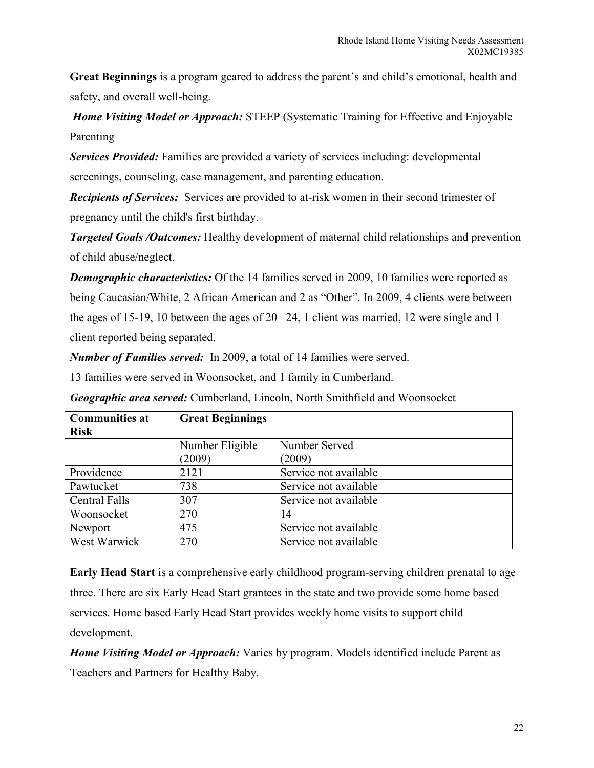**Great Beginnings** is a program geared to address the parent's and child's emotional, health and safety, and overall well-being.

*Home Visiting Model or Approach:* STEEP (Systematic Training for Effective and Enjoyable Parenting

*Services Provided:* Families are provided a variety of services including: developmental screenings, counseling, case management, and parenting education.

*Recipients of Services:* Services are provided to at-risk women in their second trimester of pregnancy until the child's first birthday.

*Targeted Goals /Outcomes:* Healthy development of maternal child relationships and prevention of child abuse/neglect.

*Demographic characteristics:* Of the 14 families served in 2009, 10 families were reported as being Caucasian/White, 2 African American and 2 as "Other". In 2009, 4 clients were between the ages of 15-19, 10 between the ages of 20 –24, 1 client was married, 12 were single and 1 client reported being separated.

*Number of Families served:* In 2009, a total of 14 families were served.

13 families were served in Woonsocket, and 1 family in Cumberland.

**Communities at Risk Great Beginnings**  Number Eligible (2009) Number Served (2009) Providence 2121 Service not available Pawtucket 738 Service not available Central Falls 307 Service not available Woonsocket 270 14 Newport 1475 Service not available West Warwick 270 Service not available

*Geographic area served:* Cumberland, Lincoln, North Smithfield and Woonsocket

**Early Head Start** is a comprehensive early childhood program-serving children prenatal to age three. There are six Early Head Start grantees in the state and two provide some home based services. Home based Early Head Start provides weekly home visits to support child development.

*Home Visiting Model or Approach:* Varies by program. Models identified include Parent as Teachers and Partners for Healthy Baby.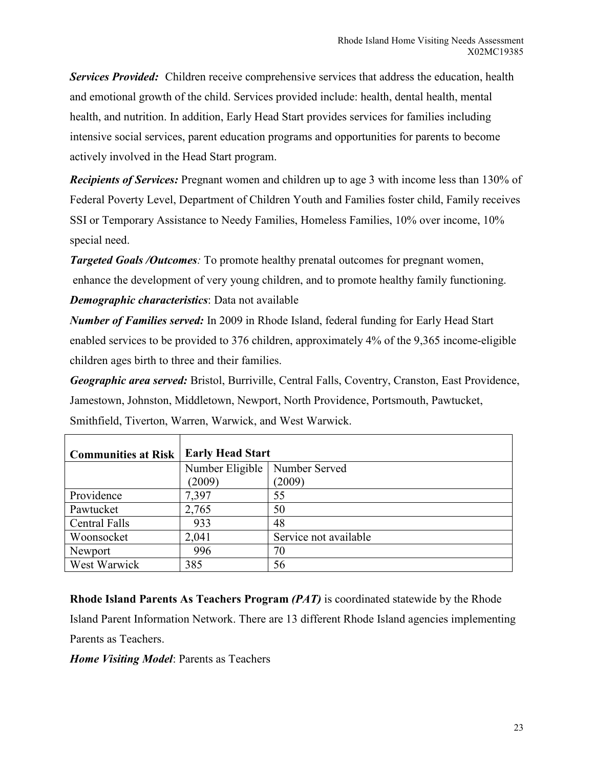*Services Provided:* Children receive comprehensive services that address the education, health and emotional growth of the child. Services provided include: health, dental health, mental health, and nutrition. In addition, Early Head Start provides services for families including intensive social services, parent education programs and opportunities for parents to become actively involved in the Head Start program.

*Recipients of Services:* Pregnant women and children up to age 3 with income less than 130% of Federal Poverty Level, Department of Children Youth and Families foster child, Family receives SSI or Temporary Assistance to Needy Families, Homeless Families, 10% over income, 10% special need.

*Targeted Goals /Outcomes:* To promote healthy prenatal outcomes for pregnant women, enhance the development of very young children, and to promote healthy family functioning. *Demographic characteristics*: Data not available

*Number of Families served:* In 2009 in Rhode Island, federal funding for Early Head Start enabled services to be provided to 376 children, approximately 4% of the 9,365 income-eligible children ages birth to three and their families.

*Geographic area served:* Bristol, Burriville, Central Falls, Coventry, Cranston, East Providence, Jamestown, Johnston, Middletown, Newport, North Providence, Portsmouth, Pawtucket, Smithfield, Tiverton, Warren, Warwick, and West Warwick.

| <b>Communities at Risk</b> | <b>Early Head Start</b>         |                       |  |
|----------------------------|---------------------------------|-----------------------|--|
|                            | Number Eligible   Number Served |                       |  |
|                            | (2009)                          | (2009)                |  |
| Providence                 | 7,397                           | 55                    |  |
| Pawtucket                  | 2,765                           | 50                    |  |
| <b>Central Falls</b>       | 933                             | 48                    |  |
| Woonsocket                 | 2,041                           | Service not available |  |
| Newport                    | 996                             | 70                    |  |
| West Warwick               | 385                             | 56                    |  |

**Rhode Island Parents As Teachers Program** *(PAT)* is coordinated statewide by the Rhode Island Parent Information Network. There are 13 different Rhode Island agencies implementing Parents as Teachers.

*Home Visiting Model*: Parents as Teachers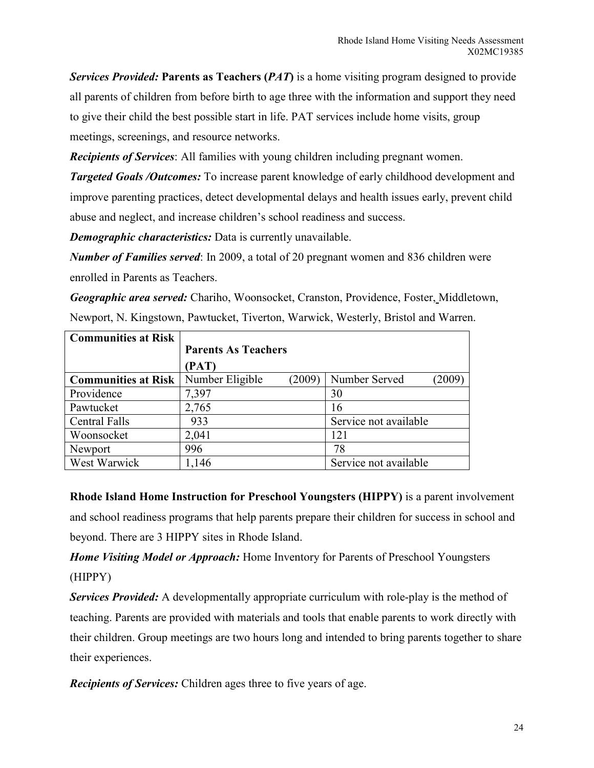*Services Provided:* **Parents as Teachers (***PAT***)** is a home visiting program designed to provide all parents of children from before birth to age three with the information and support they need to give their child the best possible start in life. PAT services include home visits, group meetings, screenings, and resource networks.

*Recipients of Services*: All families with young children including pregnant women.

*Targeted Goals /Outcomes:* To increase parent knowledge of early childhood development and improve parenting practices, detect developmental delays and health issues early, prevent child abuse and neglect, and increase children's school readiness and success.

*Demographic characteristics:* Data is currently unavailable.

*Number of Families served*: In 2009, a total of 20 pregnant women and 836 children were enrolled in Parents as Teachers.

*Geographic area served:* Chariho, Woonsocket, Cranston, Providence, Foster, Middletown, Newport, N. Kingstown, Pawtucket, Tiverton, Warwick, Westerly, Bristol and Warren.

| <b>Communities at Risk</b> |                            |     |                       |      |
|----------------------------|----------------------------|-----|-----------------------|------|
|                            | <b>Parents As Teachers</b> |     |                       |      |
|                            | (PAT)                      |     |                       |      |
| <b>Communities at Risk</b> | Number Eligible<br>(2009)  |     | Number Served         | 2009 |
| Providence                 | 7,397                      | 30  |                       |      |
| Pawtucket                  | 2,765                      | 16  |                       |      |
| Central Falls              | 933                        |     | Service not available |      |
| Woonsocket                 | 2,041                      | 121 |                       |      |
| Newport                    | 996                        | 78  |                       |      |
| West Warwick               | 1,146                      |     | Service not available |      |

**Rhode Island Home Instruction for Preschool Youngsters (HIPPY)** is a parent involvement and school readiness programs that help parents prepare their children for success in school and beyond. There are 3 HIPPY sites in Rhode Island.

*Home Visiting Model or Approach:* Home Inventory for Parents of Preschool Youngsters (HIPPY)

*Services Provided:* A developmentally appropriate curriculum with role-play is the method of teaching. Parents are provided with materials and tools that enable parents to work directly with their children. Group meetings are two hours long and intended to bring parents together to share their experiences.

*Recipients of Services:* Children ages three to five years of age.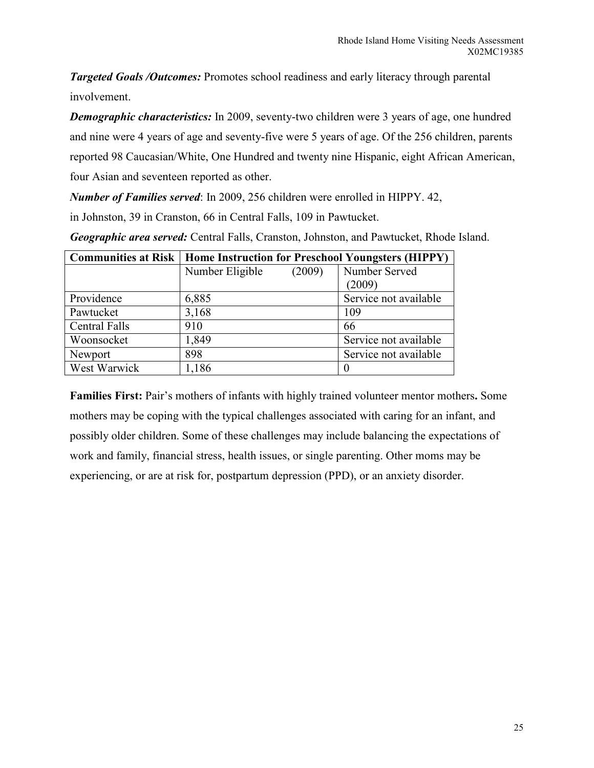*Targeted Goals /Outcomes:* Promotes school readiness and early literacy through parental involvement.

*Demographic characteristics:* In 2009, seventy-two children were 3 years of age, one hundred and nine were 4 years of age and seventy-five were 5 years of age. Of the 256 children, parents reported 98 Caucasian/White, One Hundred and twenty nine Hispanic, eight African American, four Asian and seventeen reported as other.

*Number of Families served*: In 2009, 256 children were enrolled in HIPPY. 42,

in Johnston, 39 in Cranston, 66 in Central Falls, 109 in Pawtucket.

| <b>Communities at Risk   Home Instruction for Preschool Youngsters (HIPPY)</b> |                 |        |                       |
|--------------------------------------------------------------------------------|-----------------|--------|-----------------------|
|                                                                                | Number Eligible | (2009) | Number Served         |
|                                                                                |                 |        | (2009)                |
| Providence                                                                     | 6,885           |        | Service not available |
| Pawtucket                                                                      | 3,168           |        | 109                   |
| <b>Central Falls</b>                                                           | 910             |        | 66                    |
| Woonsocket                                                                     | 1,849           |        | Service not available |
| Newport                                                                        | 898             |        | Service not available |
| West Warwick                                                                   | 1,186           |        | $\theta$              |

*Geographic area served:* Central Falls, Cranston, Johnston, and Pawtucket, Rhode Island.

**Families First:** Pair's mothers of infants with highly trained volunteer mentor mothers**.** Some mothers may be coping with the typical challenges associated with caring for an infant, and possibly older children. Some of these challenges may include balancing the expectations of work and family, financial stress, health issues, or single parenting. Other moms may be experiencing, or are at risk for, postpartum depression (PPD), or an anxiety disorder.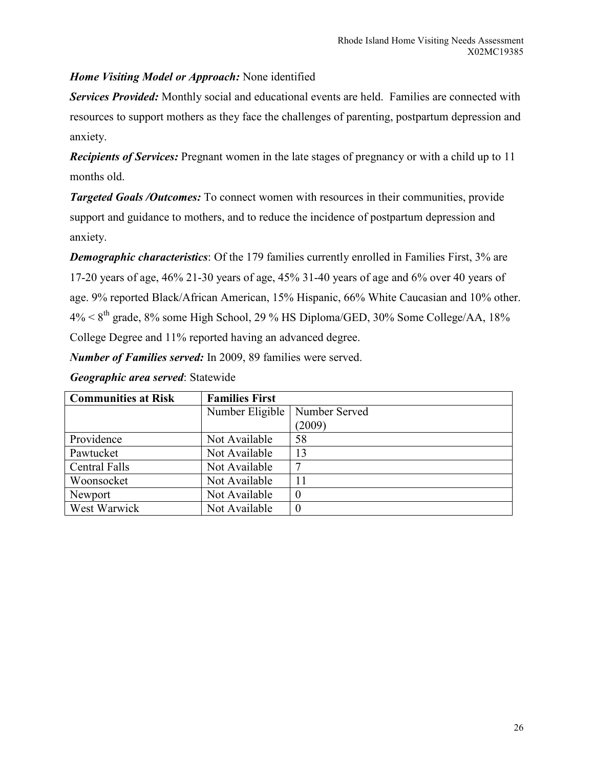*Home Visiting Model or Approach:* None identified

*Services Provided:* Monthly social and educational events are held. Families are connected with resources to support mothers as they face the challenges of parenting, postpartum depression and anxiety.

*Recipients of Services:* Pregnant women in the late stages of pregnancy or with a child up to 11 months old.

*Targeted Goals /Outcomes:* To connect women with resources in their communities, provide support and guidance to mothers, and to reduce the incidence of postpartum depression and anxiety.

*Demographic characteristics*: Of the 179 families currently enrolled in Families First, 3% are 17-20 years of age, 46% 21-30 years of age, 45% 31-40 years of age and 6% over 40 years of age. 9% reported Black/African American, 15% Hispanic, 66% White Caucasian and 10% other.  $4\% < 8^{th}$  grade, 8% some High School, 29 % HS Diploma/GED, 30% Some College/AA, 18% College Degree and 11% reported having an advanced degree.

*Number of Families served:* In 2009, 89 families were served.

| <b>Communities at Risk</b> | <b>Families First</b> |               |
|----------------------------|-----------------------|---------------|
|                            | Number Eligible       | Number Served |
|                            |                       | (2009)        |
| Providence                 | Not Available         | 58            |
| Pawtucket                  | Not Available         | 13            |
| <b>Central Falls</b>       | Not Available         |               |
| Woonsocket                 | Not Available         | 11            |
| Newport                    | Not Available         | $\theta$      |
| West Warwick               | Not Available         |               |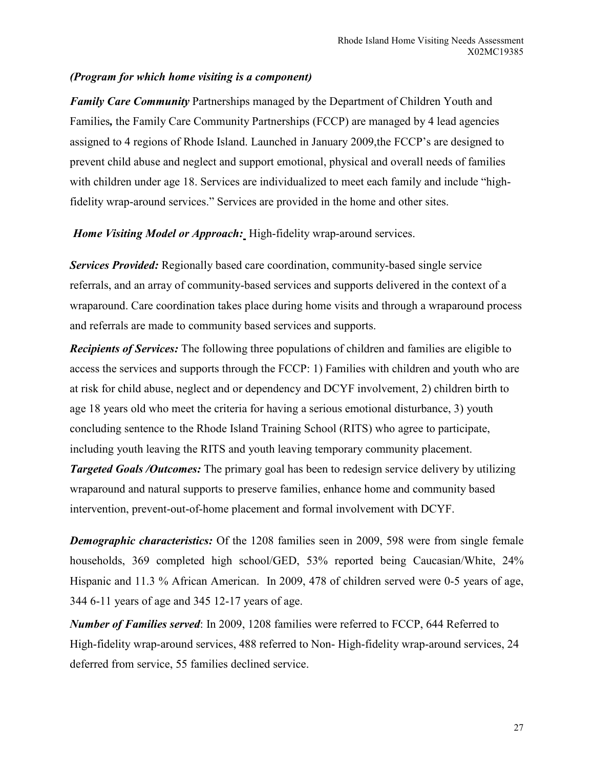### *(Program for which home visiting is a component)*

*Family Care Community* Partnerships managed by the Department of Children Youth and Families*,* the Family Care Community Partnerships (FCCP) are managed by 4 lead agencies assigned to 4 regions of Rhode Island. Launched in January 2009,the FCCP's are designed to prevent child abuse and neglect and support emotional, physical and overall needs of families with children under age 18. Services are individualized to meet each family and include "highfidelity wrap-around services." Services are provided in the home and other sites.

#### *Home Visiting Model or Approach:* High-fidelity wrap-around services.

*Services Provided:* Regionally based care coordination, community-based single service referrals, and an array of community-based services and supports delivered in the context of a wraparound. Care coordination takes place during home visits and through a wraparound process and referrals are made to community based services and supports.

*Recipients of Services:* The following three populations of children and families are eligible to access the services and supports through the FCCP: 1) Families with children and youth who are at risk for child abuse, neglect and or dependency and DCYF involvement, 2) children birth to age 18 years old who meet the criteria for having a serious emotional disturbance, 3) youth concluding sentence to the Rhode Island Training School (RITS) who agree to participate, including youth leaving the RITS and youth leaving temporary community placement.

*Targeted Goals /Outcomes:* The primary goal has been to redesign service delivery by utilizing wraparound and natural supports to preserve families, enhance home and community based intervention, prevent-out-of-home placement and formal involvement with DCYF.

*Demographic characteristics:* Of the 1208 families seen in 2009, 598 were from single female households, 369 completed high school/GED, 53% reported being Caucasian/White, 24% Hispanic and 11.3 % African American. In 2009, 478 of children served were 0-5 years of age, 344 6-11 years of age and 345 12-17 years of age.

*Number of Families served*: In 2009, 1208 families were referred to FCCP, 644 Referred to High-fidelity wrap-around services, 488 referred to Non- High-fidelity wrap-around services, 24 deferred from service, 55 families declined service.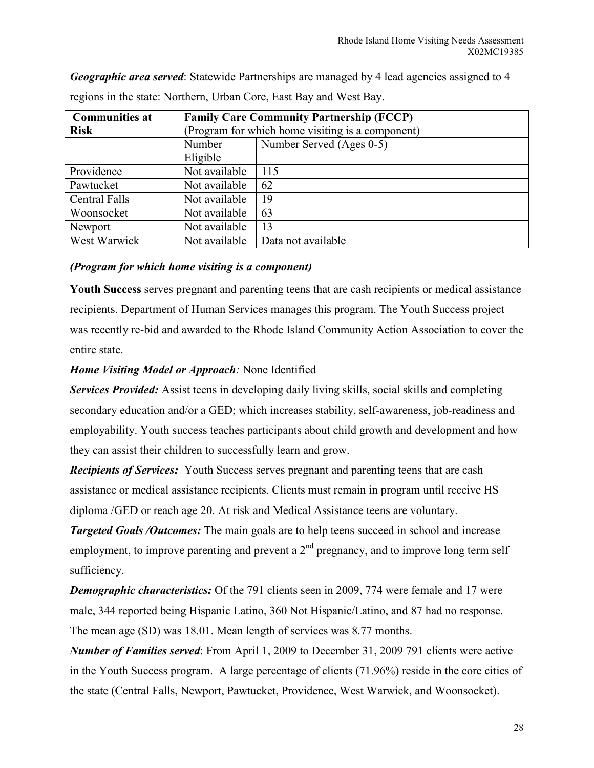*Geographic area served*: Statewide Partnerships are managed by 4 lead agencies assigned to 4 regions in the state: Northern, Urban Core, East Bay and West Bay.

| <b>Communities at</b> | <b>Family Care Community Partnership (FCCP)</b>  |                          |
|-----------------------|--------------------------------------------------|--------------------------|
| <b>Risk</b>           | (Program for which home visiting is a component) |                          |
|                       | Number                                           | Number Served (Ages 0-5) |
|                       | Eligible                                         |                          |
| Providence            | Not available                                    | 115                      |
| Pawtucket             | Not available                                    | 62                       |
| <b>Central Falls</b>  | Not available                                    | 19                       |
| Woonsocket            | Not available                                    | 63                       |
| Newport               | Not available                                    | 13                       |
| West Warwick          | Not available                                    | Data not available       |

*(Program for which home visiting is a component)* 

**Youth Success** serves pregnant and parenting teens that are cash recipients or medical assistance recipients. Department of Human Services manages this program. The Youth Success project was recently re-bid and awarded to the Rhode Island Community Action Association to cover the entire state.

# *Home Visiting Model or Approach:* None Identified

*Services Provided:* Assist teens in developing daily living skills, social skills and completing secondary education and/or a GED; which increases stability, self-awareness, job-readiness and employability. Youth success teaches participants about child growth and development and how they can assist their children to successfully learn and grow.

*Recipients of Services:* Youth Success serves pregnant and parenting teens that are cash assistance or medical assistance recipients. Clients must remain in program until receive HS diploma /GED or reach age 20. At risk and Medical Assistance teens are voluntary.

*Targeted Goals /Outcomes:* The main goals are to help teens succeed in school and increase employment, to improve parenting and prevent a  $2<sup>nd</sup>$  pregnancy, and to improve long term self – sufficiency.

*Demographic characteristics:* Of the 791 clients seen in 2009, 774 were female and 17 were male, 344 reported being Hispanic Latino, 360 Not Hispanic/Latino, and 87 had no response. The mean age (SD) was 18.01. Mean length of services was 8.77 months.

*Number of Families served*: From April 1, 2009 to December 31, 2009 791 clients were active in the Youth Success program. A large percentage of clients (71.96%) reside in the core cities of the state (Central Falls, Newport, Pawtucket, Providence, West Warwick, and Woonsocket).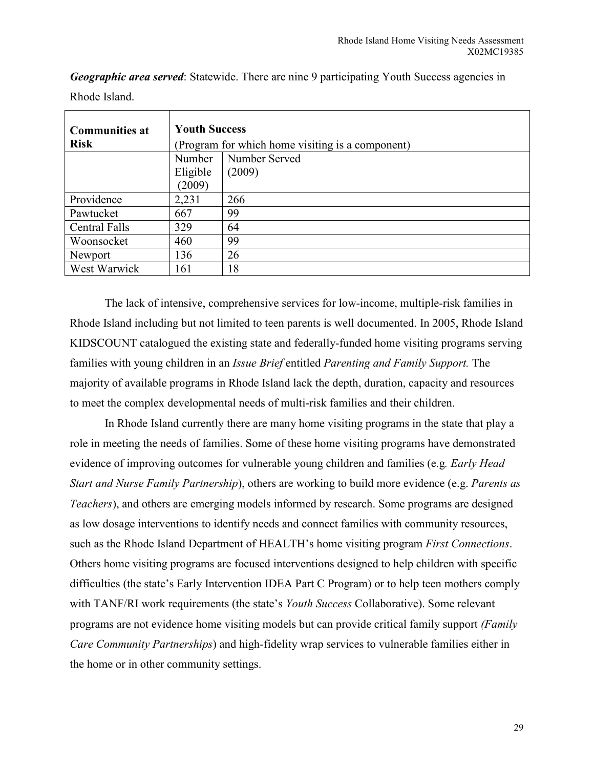| <b>Communities at</b> | <b>Youth Success</b>                             |               |
|-----------------------|--------------------------------------------------|---------------|
| <b>Risk</b>           | (Program for which home visiting is a component) |               |
|                       | Number                                           | Number Served |
|                       | Eligible                                         | (2009)        |
|                       | (2009)                                           |               |
| Providence            | 2,231                                            | 266           |
| Pawtucket             | 667                                              | 99            |
| Central Falls         | 329                                              | 64            |
| Woonsocket            | 460                                              | 99            |
| Newport               | 136                                              | 26            |
| West Warwick          | 161                                              | 18            |

*Geographic area served*: Statewide. There are nine 9 participating Youth Success agencies in Rhode Island.

The lack of intensive, comprehensive services for low-income, multiple-risk families in Rhode Island including but not limited to teen parents is well documented. In 2005, Rhode Island KIDSCOUNT catalogued the existing state and federally-funded home visiting programs serving families with young children in an *Issue Brief* entitled *Parenting and Family Support.* The majority of available programs in Rhode Island lack the depth, duration, capacity and resources to meet the complex developmental needs of multi-risk families and their children.

In Rhode Island currently there are many home visiting programs in the state that play a role in meeting the needs of families. Some of these home visiting programs have demonstrated evidence of improving outcomes for vulnerable young children and families (e.g*. Early Head Start and Nurse Family Partnership*), others are working to build more evidence (e.g. *Parents as Teachers*), and others are emerging models informed by research. Some programs are designed as low dosage interventions to identify needs and connect families with community resources, such as the Rhode Island Department of HEALTH's home visiting program *First Connections*. Others home visiting programs are focused interventions designed to help children with specific difficulties (the state's Early Intervention IDEA Part C Program) or to help teen mothers comply with TANF/RI work requirements (the state's *Youth Success* Collaborative). Some relevant programs are not evidence home visiting models but can provide critical family support *(Family Care Community Partnerships*) and high-fidelity wrap services to vulnerable families either in the home or in other community settings.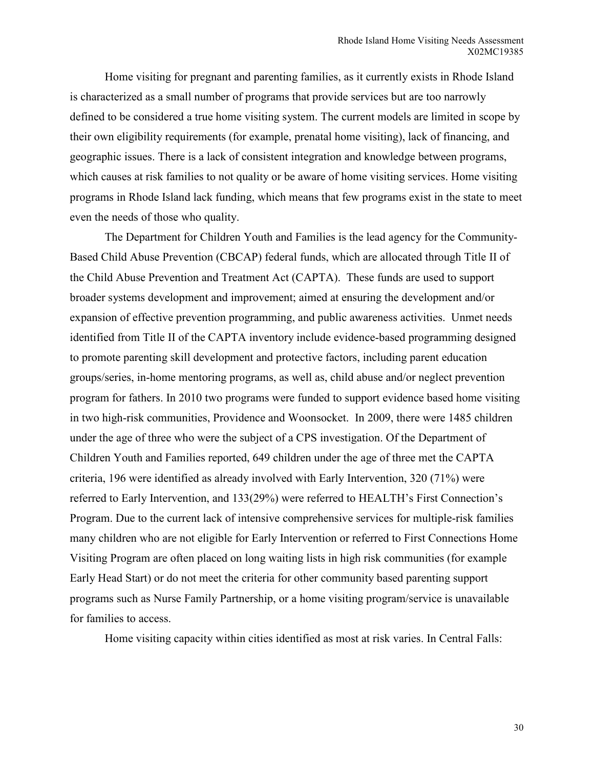Home visiting for pregnant and parenting families, as it currently exists in Rhode Island is characterized as a small number of programs that provide services but are too narrowly defined to be considered a true home visiting system. The current models are limited in scope by their own eligibility requirements (for example, prenatal home visiting), lack of financing, and geographic issues. There is a lack of consistent integration and knowledge between programs, which causes at risk families to not quality or be aware of home visiting services. Home visiting programs in Rhode Island lack funding, which means that few programs exist in the state to meet even the needs of those who quality.

 The Department for Children Youth and Families is the lead agency for the Community-Based Child Abuse Prevention (CBCAP) federal funds, which are allocated through Title II of the Child Abuse Prevention and Treatment Act (CAPTA). These funds are used to support broader systems development and improvement; aimed at ensuring the development and/or expansion of effective prevention programming, and public awareness activities. Unmet needs identified from Title II of the CAPTA inventory include evidence-based programming designed to promote parenting skill development and protective factors, including parent education groups/series, in-home mentoring programs, as well as, child abuse and/or neglect prevention program for fathers. In 2010 two programs were funded to support evidence based home visiting in two high-risk communities, Providence and Woonsocket. In 2009, there were 1485 children under the age of three who were the subject of a CPS investigation. Of the Department of Children Youth and Families reported, 649 children under the age of three met the CAPTA criteria, 196 were identified as already involved with Early Intervention, 320 (71%) were referred to Early Intervention, and 133(29%) were referred to HEALTH's First Connection's Program. Due to the current lack of intensive comprehensive services for multiple-risk families many children who are not eligible for Early Intervention or referred to First Connections Home Visiting Program are often placed on long waiting lists in high risk communities (for example Early Head Start) or do not meet the criteria for other community based parenting support programs such as Nurse Family Partnership, or a home visiting program/service is unavailable for families to access.

Home visiting capacity within cities identified as most at risk varies. In Central Falls: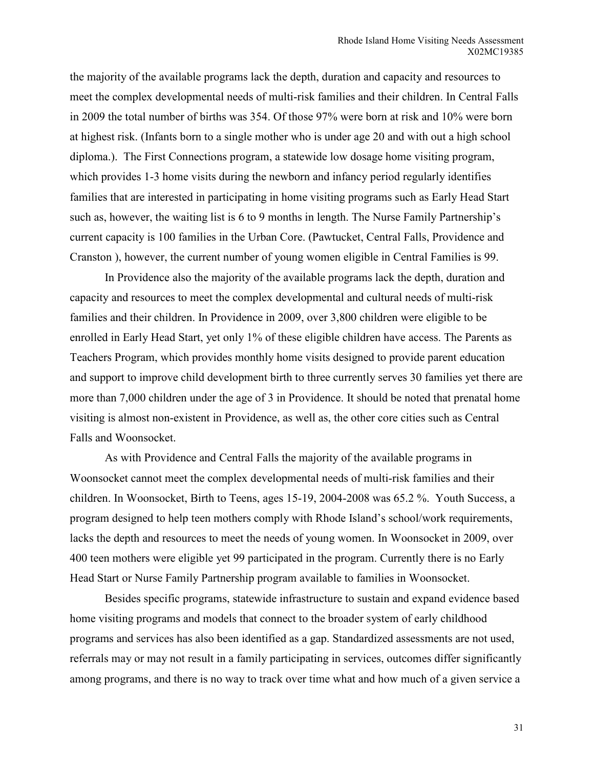the majority of the available programs lack the depth, duration and capacity and resources to meet the complex developmental needs of multi-risk families and their children. In Central Falls in 2009 the total number of births was 354. Of those 97% were born at risk and 10% were born at highest risk. (Infants born to a single mother who is under age 20 and with out a high school diploma.). The First Connections program, a statewide low dosage home visiting program, which provides 1-3 home visits during the newborn and infancy period regularly identifies families that are interested in participating in home visiting programs such as Early Head Start such as, however, the waiting list is 6 to 9 months in length. The Nurse Family Partnership's current capacity is 100 families in the Urban Core. (Pawtucket, Central Falls, Providence and Cranston ), however, the current number of young women eligible in Central Families is 99.

 In Providence also the majority of the available programs lack the depth, duration and capacity and resources to meet the complex developmental and cultural needs of multi-risk families and their children. In Providence in 2009, over 3,800 children were eligible to be enrolled in Early Head Start, yet only 1% of these eligible children have access. The Parents as Teachers Program, which provides monthly home visits designed to provide parent education and support to improve child development birth to three currently serves 30 families yet there are more than 7,000 children under the age of 3 in Providence. It should be noted that prenatal home visiting is almost non-existent in Providence, as well as, the other core cities such as Central Falls and Woonsocket.

 As with Providence and Central Falls the majority of the available programs in Woonsocket cannot meet the complex developmental needs of multi-risk families and their children. In Woonsocket, Birth to Teens, ages 15-19, 2004-2008 was 65.2 %. Youth Success, a program designed to help teen mothers comply with Rhode Island's school/work requirements, lacks the depth and resources to meet the needs of young women. In Woonsocket in 2009, over 400 teen mothers were eligible yet 99 participated in the program. Currently there is no Early Head Start or Nurse Family Partnership program available to families in Woonsocket.

Besides specific programs, statewide infrastructure to sustain and expand evidence based home visiting programs and models that connect to the broader system of early childhood programs and services has also been identified as a gap. Standardized assessments are not used, referrals may or may not result in a family participating in services, outcomes differ significantly among programs, and there is no way to track over time what and how much of a given service a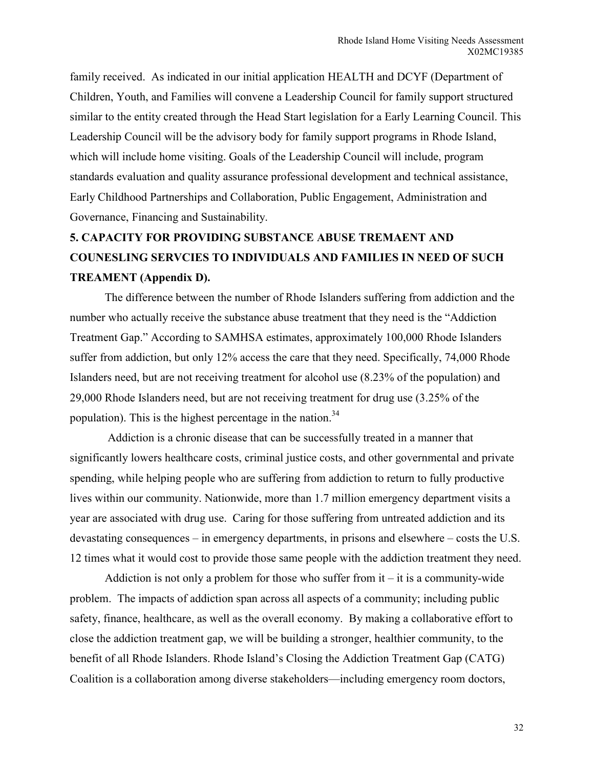family received. As indicated in our initial application HEALTH and DCYF (Department of Children, Youth, and Families will convene a Leadership Council for family support structured similar to the entity created through the Head Start legislation for a Early Learning Council. This Leadership Council will be the advisory body for family support programs in Rhode Island, which will include home visiting. Goals of the Leadership Council will include, program standards evaluation and quality assurance professional development and technical assistance, Early Childhood Partnerships and Collaboration, Public Engagement, Administration and Governance, Financing and Sustainability.

# **5. CAPACITY FOR PROVIDING SUBSTANCE ABUSE TREMAENT AND COUNESLING SERVCIES TO INDIVIDUALS AND FAMILIES IN NEED OF SUCH TREAMENT (Appendix D).**

The difference between the number of Rhode Islanders suffering from addiction and the number who actually receive the substance abuse treatment that they need is the "Addiction Treatment Gap." According to SAMHSA estimates, approximately 100,000 Rhode Islanders suffer from addiction, but only 12% access the care that they need. Specifically, 74,000 Rhode Islanders need, but are not receiving treatment for alcohol use (8.23% of the population) and 29,000 Rhode Islanders need, but are not receiving treatment for drug use (3.25% of the population). This is the highest percentage in the nation. $34$ 

 Addiction is a chronic disease that can be successfully treated in a manner that significantly lowers healthcare costs, criminal justice costs, and other governmental and private spending, while helping people who are suffering from addiction to return to fully productive lives within our community. Nationwide, more than 1.7 million emergency department visits a year are associated with drug use. Caring for those suffering from untreated addiction and its devastating consequences – in emergency departments, in prisons and elsewhere – costs the U.S. 12 times what it would cost to provide those same people with the addiction treatment they need.

Addiction is not only a problem for those who suffer from  $it - it$  is a community-wide problem. The impacts of addiction span across all aspects of a community; including public safety, finance, healthcare, as well as the overall economy. By making a collaborative effort to close the addiction treatment gap, we will be building a stronger, healthier community, to the benefit of all Rhode Islanders. Rhode Island's Closing the Addiction Treatment Gap (CATG) Coalition is a collaboration among diverse stakeholders—including emergency room doctors,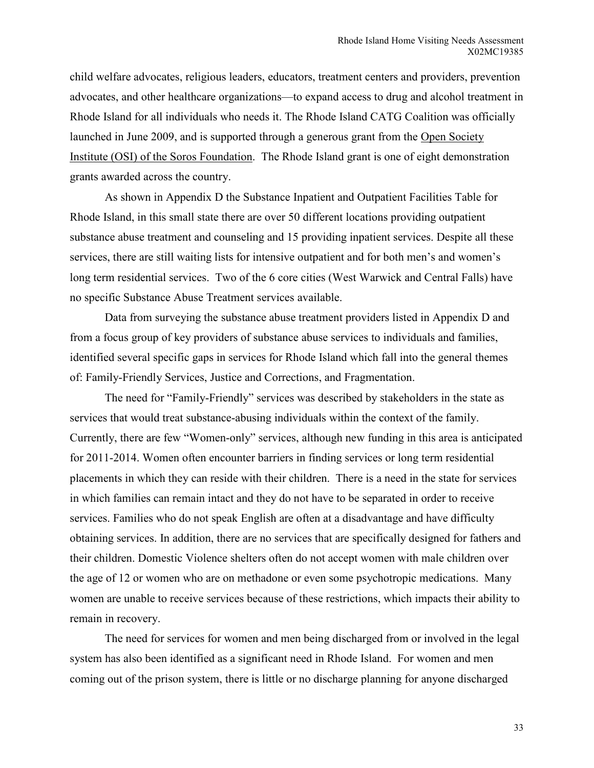child welfare advocates, religious leaders, educators, treatment centers and providers, prevention advocates, and other healthcare organizations—to expand access to drug and alcohol treatment in Rhode Island for all individuals who needs it. The Rhode Island CATG Coalition was officially launched in June 2009, and is supported through a generous grant from the Open Society Institute (OSI) of the Soros Foundation. The Rhode Island grant is one of eight demonstration grants awarded across the country.

As shown in Appendix D the Substance Inpatient and Outpatient Facilities Table for Rhode Island, in this small state there are over 50 different locations providing outpatient substance abuse treatment and counseling and 15 providing inpatient services. Despite all these services, there are still waiting lists for intensive outpatient and for both men's and women's long term residential services. Two of the 6 core cities (West Warwick and Central Falls) have no specific Substance Abuse Treatment services available.

 Data from surveying the substance abuse treatment providers listed in Appendix D and from a focus group of key providers of substance abuse services to individuals and families, identified several specific gaps in services for Rhode Island which fall into the general themes of: Family-Friendly Services, Justice and Corrections, and Fragmentation.

 The need for "Family-Friendly" services was described by stakeholders in the state as services that would treat substance-abusing individuals within the context of the family. Currently, there are few "Women-only" services, although new funding in this area is anticipated for 2011-2014. Women often encounter barriers in finding services or long term residential placements in which they can reside with their children. There is a need in the state for services in which families can remain intact and they do not have to be separated in order to receive services. Families who do not speak English are often at a disadvantage and have difficulty obtaining services. In addition, there are no services that are specifically designed for fathers and their children. Domestic Violence shelters often do not accept women with male children over the age of 12 or women who are on methadone or even some psychotropic medications. Many women are unable to receive services because of these restrictions, which impacts their ability to remain in recovery.

 The need for services for women and men being discharged from or involved in the legal system has also been identified as a significant need in Rhode Island. For women and men coming out of the prison system, there is little or no discharge planning for anyone discharged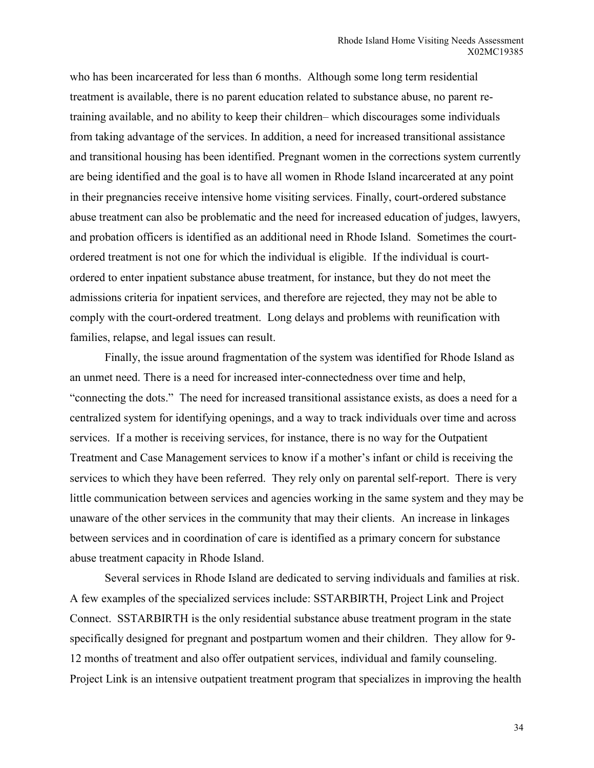who has been incarcerated for less than 6 months. Although some long term residential treatment is available, there is no parent education related to substance abuse, no parent retraining available, and no ability to keep their children– which discourages some individuals from taking advantage of the services. In addition, a need for increased transitional assistance and transitional housing has been identified. Pregnant women in the corrections system currently are being identified and the goal is to have all women in Rhode Island incarcerated at any point in their pregnancies receive intensive home visiting services. Finally, court-ordered substance abuse treatment can also be problematic and the need for increased education of judges, lawyers, and probation officers is identified as an additional need in Rhode Island. Sometimes the courtordered treatment is not one for which the individual is eligible. If the individual is courtordered to enter inpatient substance abuse treatment, for instance, but they do not meet the admissions criteria for inpatient services, and therefore are rejected, they may not be able to comply with the court-ordered treatment. Long delays and problems with reunification with families, relapse, and legal issues can result.

 Finally, the issue around fragmentation of the system was identified for Rhode Island as an unmet need. There is a need for increased inter-connectedness over time and help, "connecting the dots." The need for increased transitional assistance exists, as does a need for a centralized system for identifying openings, and a way to track individuals over time and across services. If a mother is receiving services, for instance, there is no way for the Outpatient Treatment and Case Management services to know if a mother's infant or child is receiving the services to which they have been referred. They rely only on parental self-report. There is very little communication between services and agencies working in the same system and they may be unaware of the other services in the community that may their clients. An increase in linkages between services and in coordination of care is identified as a primary concern for substance abuse treatment capacity in Rhode Island.

 Several services in Rhode Island are dedicated to serving individuals and families at risk. A few examples of the specialized services include: SSTARBIRTH, Project Link and Project Connect. SSTARBIRTH is the only residential substance abuse treatment program in the state specifically designed for pregnant and postpartum women and their children. They allow for 9- 12 months of treatment and also offer outpatient services, individual and family counseling. Project Link is an intensive outpatient treatment program that specializes in improving the health

34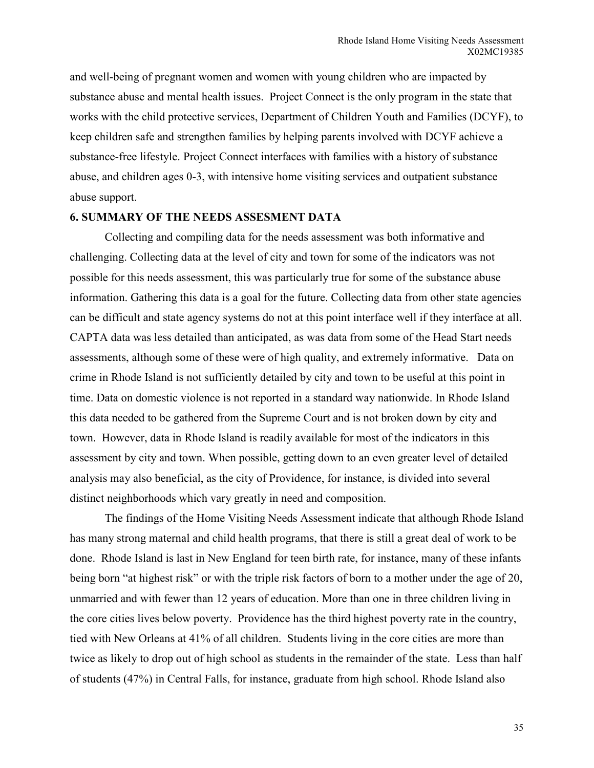and well-being of pregnant women and women with young children who are impacted by substance abuse and mental health issues. Project Connect is the only program in the state that works with the child protective services, Department of Children Youth and Families (DCYF), to keep children safe and strengthen families by helping parents involved with DCYF achieve a substance-free lifestyle. Project Connect interfaces with families with a history of substance abuse, and children ages 0-3, with intensive home visiting services and outpatient substance abuse support.

#### **6. SUMMARY OF THE NEEDS ASSESMENT DATA**

Collecting and compiling data for the needs assessment was both informative and challenging. Collecting data at the level of city and town for some of the indicators was not possible for this needs assessment, this was particularly true for some of the substance abuse information. Gathering this data is a goal for the future. Collecting data from other state agencies can be difficult and state agency systems do not at this point interface well if they interface at all. CAPTA data was less detailed than anticipated, as was data from some of the Head Start needs assessments, although some of these were of high quality, and extremely informative. Data on crime in Rhode Island is not sufficiently detailed by city and town to be useful at this point in time. Data on domestic violence is not reported in a standard way nationwide. In Rhode Island this data needed to be gathered from the Supreme Court and is not broken down by city and town. However, data in Rhode Island is readily available for most of the indicators in this assessment by city and town. When possible, getting down to an even greater level of detailed analysis may also beneficial, as the city of Providence, for instance, is divided into several distinct neighborhoods which vary greatly in need and composition.

The findings of the Home Visiting Needs Assessment indicate that although Rhode Island has many strong maternal and child health programs, that there is still a great deal of work to be done. Rhode Island is last in New England for teen birth rate, for instance, many of these infants being born "at highest risk" or with the triple risk factors of born to a mother under the age of 20, unmarried and with fewer than 12 years of education. More than one in three children living in the core cities lives below poverty. Providence has the third highest poverty rate in the country, tied with New Orleans at 41% of all children. Students living in the core cities are more than twice as likely to drop out of high school as students in the remainder of the state. Less than half of students (47%) in Central Falls, for instance, graduate from high school. Rhode Island also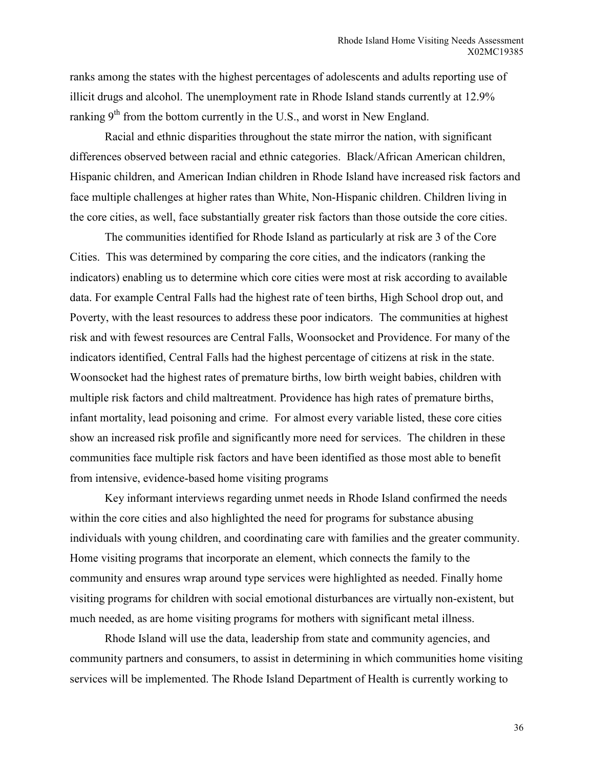ranks among the states with the highest percentages of adolescents and adults reporting use of illicit drugs and alcohol. The unemployment rate in Rhode Island stands currently at 12.9% ranking  $9<sup>th</sup>$  from the bottom currently in the U.S., and worst in New England.

Racial and ethnic disparities throughout the state mirror the nation, with significant differences observed between racial and ethnic categories. Black/African American children, Hispanic children, and American Indian children in Rhode Island have increased risk factors and face multiple challenges at higher rates than White, Non-Hispanic children. Children living in the core cities, as well, face substantially greater risk factors than those outside the core cities.

The communities identified for Rhode Island as particularly at risk are 3 of the Core Cities. This was determined by comparing the core cities, and the indicators (ranking the indicators) enabling us to determine which core cities were most at risk according to available data. For example Central Falls had the highest rate of teen births, High School drop out, and Poverty, with the least resources to address these poor indicators. The communities at highest risk and with fewest resources are Central Falls, Woonsocket and Providence. For many of the indicators identified, Central Falls had the highest percentage of citizens at risk in the state. Woonsocket had the highest rates of premature births, low birth weight babies, children with multiple risk factors and child maltreatment. Providence has high rates of premature births, infant mortality, lead poisoning and crime. For almost every variable listed, these core cities show an increased risk profile and significantly more need for services. The children in these communities face multiple risk factors and have been identified as those most able to benefit from intensive, evidence-based home visiting programs

Key informant interviews regarding unmet needs in Rhode Island confirmed the needs within the core cities and also highlighted the need for programs for substance abusing individuals with young children, and coordinating care with families and the greater community. Home visiting programs that incorporate an element, which connects the family to the community and ensures wrap around type services were highlighted as needed. Finally home visiting programs for children with social emotional disturbances are virtually non-existent, but much needed, as are home visiting programs for mothers with significant metal illness.

 Rhode Island will use the data, leadership from state and community agencies, and community partners and consumers, to assist in determining in which communities home visiting services will be implemented. The Rhode Island Department of Health is currently working to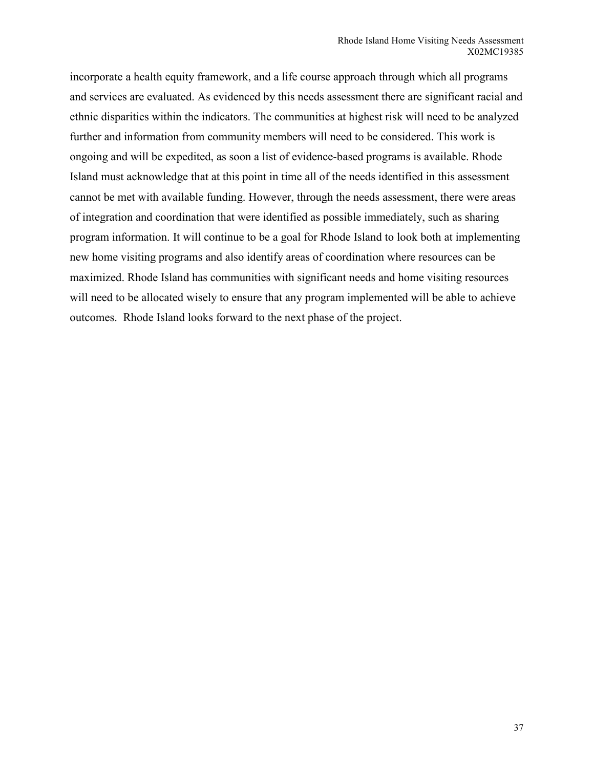incorporate a health equity framework, and a life course approach through which all programs and services are evaluated. As evidenced by this needs assessment there are significant racial and ethnic disparities within the indicators. The communities at highest risk will need to be analyzed further and information from community members will need to be considered. This work is ongoing and will be expedited, as soon a list of evidence-based programs is available. Rhode Island must acknowledge that at this point in time all of the needs identified in this assessment cannot be met with available funding. However, through the needs assessment, there were areas of integration and coordination that were identified as possible immediately, such as sharing program information. It will continue to be a goal for Rhode Island to look both at implementing new home visiting programs and also identify areas of coordination where resources can be maximized. Rhode Island has communities with significant needs and home visiting resources will need to be allocated wisely to ensure that any program implemented will be able to achieve outcomes. Rhode Island looks forward to the next phase of the project.